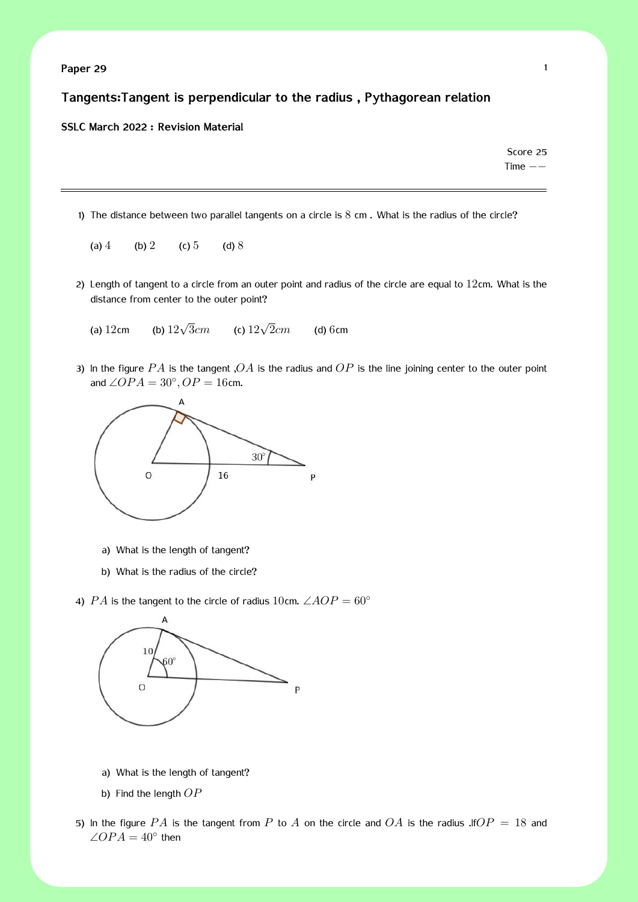### **Tangents:Tangent is perpendicular to the radius , Pythagorean relation**

#### **SSLC March 2022 : Revision Material**

Score 25 Time *−−*

- 1) The distance between two parallel tangents on a circle is  $8 \text{ cm}$ . What is the radius of the circle?
	- (a)  $4$  (b)  $2$  (c)  $5$  (d)  $8$
- 2) Length of tangent to a circle from an outer point and radius of the circle are equal to  $12$ cm. What is the distance from center to the outer point?
	- (a) 12cm (b)  $12\sqrt{3}$ *cm*  $\alpha$ <sup>3</sup> 12√ $\sqrt{2}$ *cm* 2*cm* (d) 6cm
- 3) In the figure *P A* is the tangent ,*OA* is the radius and *OP* is the line joining center to the outer point and  $∠OPA = 30°$ ,  $OP = 16$ cm.



- a) What is the length of tangent?
- b) What is the radius of the circle?
- 4) *PA* is the tangent to the circle of radius 10cm.  $\angle AOP = 60^\circ$



- a) What is the length of tangent?
- b) Find the length *OP*
- 5) In the figure  $PA$  is the tangent from  $P$  to  $A$  on the circle and  $OA$  is the radius .If  $OP = 18$  and  $\angle OPA = 40^{\circ}$  then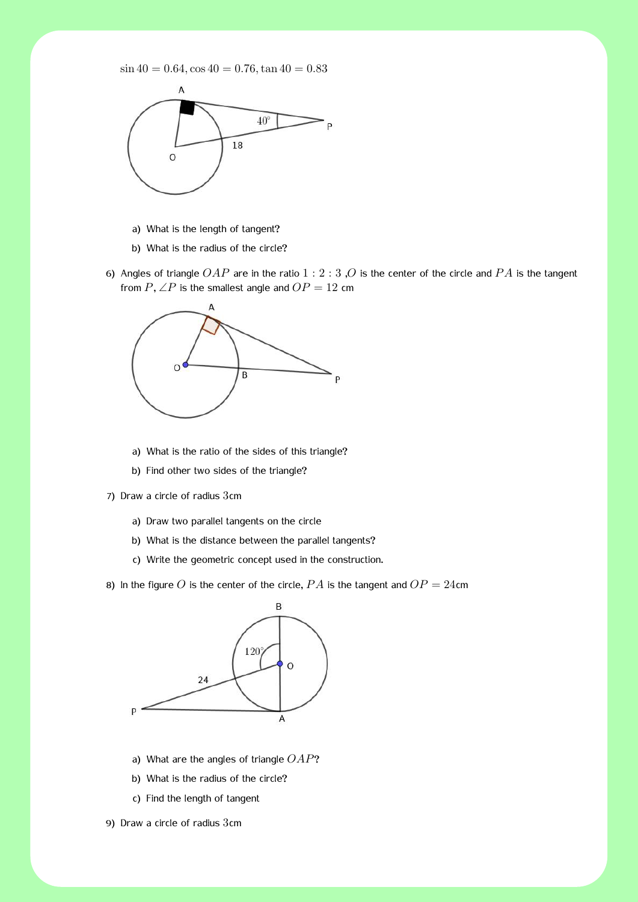$\sin 40 = 0.64$ ,  $\cos 40 = 0.76$ ,  $\tan 40 = 0.83$ 



- a) What is the length of tangent?
- b) What is the radius of the circle?
- 6) Angles of triangle *OAP* are in the ratio 1 : 2 : 3 ,*O* is the center of the circle and *P A* is the tangent from  $P$ ,  $\angle P$  is the smallest angle and  $OP = 12$  cm



- a) What is the ratio of the sides of this triangle?
- b) Find other two sides of the triangle?
- 7) Draw a circle of radius 3cm
	- a) Draw two parallel tangents on the circle
	- b) What is the distance between the parallel tangents?
	- c) Write the geometric concept used in the construction.
- 8) In the figure O is the center of the circle,  $PA$  is the tangent and  $OP = 24$ cm



- a) What are the angles of triangle *OAP*?
- b) What is the radius of the circle?
- c) Find the length of tangent
- 9) Draw a circle of radius 3cm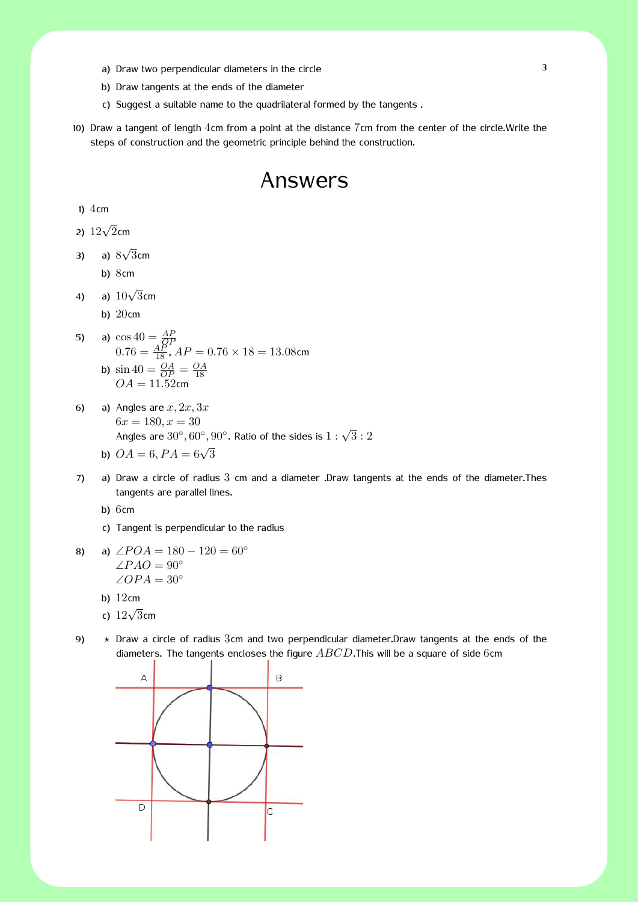- a) Draw two perpendicular diameters in the circle 3
- b) Draw tangents at the ends of the diameter
- c) Suggest a suitable name to the quadrilateral formed by the tangents .
- 10) Draw a tangent of length 4cm from a point at the distance 7cm from the center of the circle.Write the steps of construction and the geometric principle behind the construction.

## Answers

#### 1)  $4cm$

2) <sup>12</sup>*<sup>√</sup>* 2cm

- 3) a) 8 *√* 3cm
	- b) 8cm
- 4) a) <sup>10</sup>*<sup>√</sup>* 3cm
	- b) 20cm
- 5) a)  $\cos 40 = \frac{AP}{QP}$ <br> $0.76 = \frac{AP}{18}$ ,  $AP = 0.76 \times 18 = 13.08$ cm b)  $\sin 40 = \frac{OA}{OP} = \frac{OA}{18}$  $OA = 11.52$ cm
- 6) a) Angles are *x,* 2*x,* 3*x*  $6x = 180, x = 30$ Angles are  $30^{\circ}$ ,  $60^{\circ}$ ,  $90^{\circ}$ . Ratio of the sides is  $1:\sqrt{3}:2$ b)  $OA = 6, PA = 6\sqrt{3}$
- 7) a) Draw a circle of radius 3 cm and a diameter .Draw tangents at the ends of the diameter.Thes tangents are parallel lines.

b) 6cm

- c) Tangent is perpendicular to the radius
- 8) a)  $\angle POA = 180 120 = 60^\circ$ ∠*P AO* = 90*◦* ∠*OP A* = 30*◦*
	- b) 12cm
	- c) <sup>12</sup>*<sup>√</sup>* 3cm
- 
- 9) *⋆* Draw a circle of radius 3cm and two perpendicular diameter.Draw tangents at the ends of the diameters. The tangents encloses the figure *ABCD*.This will be a square of side 6cm

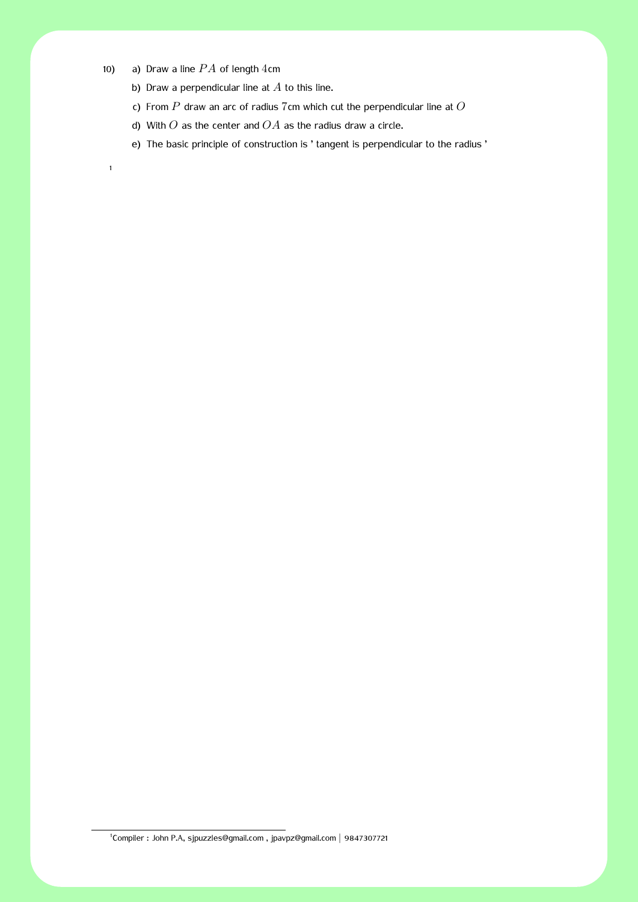10) a) Draw a line  $PA$  of length  $4cm$ 

1

- b) Draw a perpendicular line at *A* to this line.
- c) From *P* draw an arc of radius 7cm which cut the perpendicular line at *O*
- d) With *O* as the center and *OA* as the radius draw a circle.
- e) The basic principle of construction is ' tangent is perpendicular to the radius '

<sup>1</sup> Compiler : John P.A, sjpuzzles@gmail.com , jpavpz@gmail.com *|* 9847307721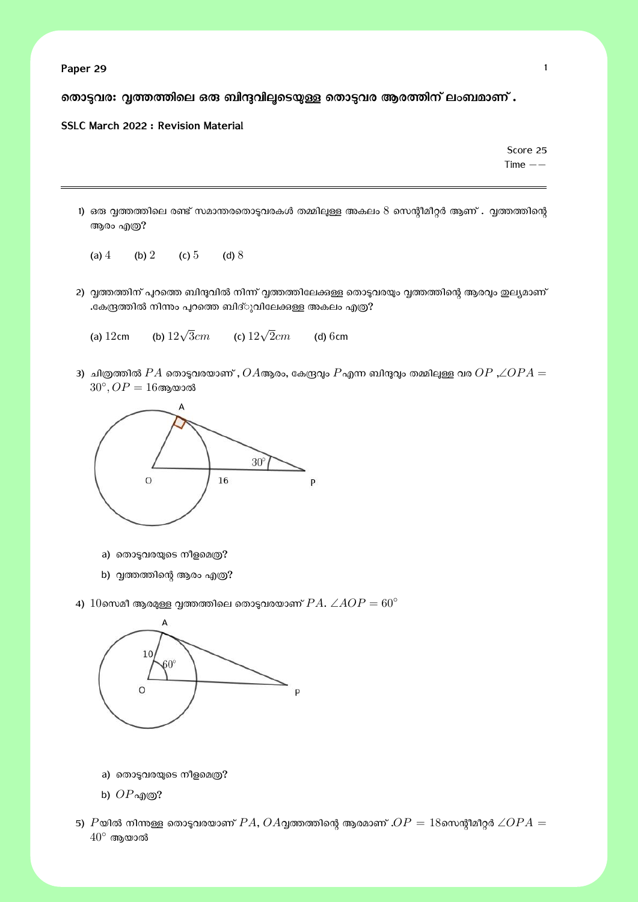**Paper 29** 1

രതാട്ടവര: വൃത്തത്തിലെ ഒരു ബിന്ദുവിലൂടെയുള്ള തൊട്ടവര ആരത്തിന് ലംബമാണ് .

#### **SSLC March 2022 : Revision Material**

Score 25 Time *−−*

- 1) ഒരു വ്വത്തത്തിലെ രണ്ട് സമാന്തരതൊടുവരകൾ തമ്മിലുള്ള അകലം  $8$  സെന്റീമീറ്റർ ആണ് . വ്വത്തത്തിന്റെ ആരം എത്ര?
	- (a)  $4$  (b)  $2$  (c)  $5$  (d)  $8$
- 2) വൃത്തത്തിന് പുറത്തെ ബിന്ദുവിൽ നിന്ന് വൃത്തത്തിലേക്കുള്ള തൊടുവരയും വൃത്തത്തിന്റെ ആരവും ഇല്യമാണ് .കേന്ദ്രത്തിൽ നിന്നം പുറത്തെ ബിദ്ുവിലേക്കുള്ള അകലം എത്ര?
	- (a) 12cm (b)  $12\sqrt{3}$ *cm* (c)  $12\sqrt{2}$ *cm* (d) 6cm
- 3) ചിത്രത്തിൽ  $PA$  തൊടുവരയാണ് ,  $OA$ ആരം, കേന്ദ്രവും  $P$ എന്ന ബിന്ദുവും തമ്മിലുള്ള വര  $OP$  , $\angle OPA =$  $30^{\circ}, OP = 16$ ആയാൽ



- a) തൊടുവരയുടെ നീളമെത്ര?
- b) വൃത്തത്തിന്റെ ആരം എത്ര?
- 4)  $10$ സെമീ ആരമുള്ള വൃത്തത്തിലെ തൊടുവരയാണ്  $PA$ .  $\angle AOP = 60^{\circ}$



- a) തൊടുവരയുടെ നീളമെത്ര?
- b) *OP*എɃ?
- 5)  $P$ യിൽ നിന്നുള്ള തൊടുവരയാണ്  $PA$ ,  $OA$ വ്വത്തത്തിന്റെ ആരമാണ് . $OP = 18$ സെന്റീമീറ്റർ ∠ $OPA =$ 40*◦* ആയാൽ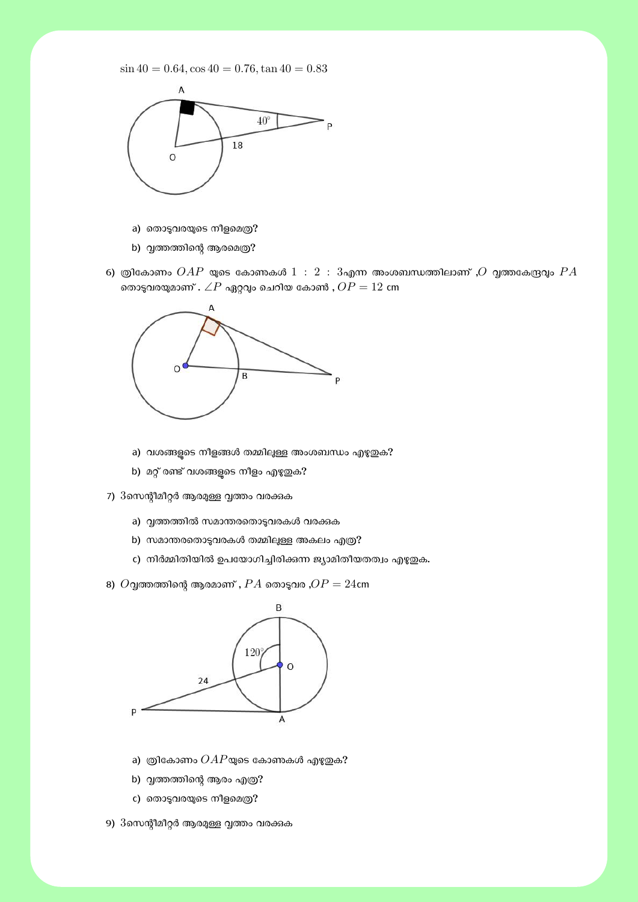$\sin 40 = 0.64$ ,  $\cos 40 = 0.76$ ,  $\tan 40 = 0.83$ 



- a) തൊടുവരയുടെ നീളമെത്ര?
- b) വൃത്തത്തിന്റെ ആരമെത്ര?
- 6) ത്രികോണം  $OAP$  യുടെ കോണകൾ  $1\ :\ 2\ :\ 3$ എന്ന അംശബന്ധത്തിലാണ് , $O$  വ്വത്തകേന്ദ്രവും  $PA$ രതാടുവരയുമാണ് .  $\angle P$  ഏറ്റവും ചെറിയ കോൺ ,  $OP = 12$  cm



- a) വശങ്ങളുടെ നീളങ്ങൾ തമ്മിലുള്ള അംശബന്ധം എഴുതുക?
- b) മറ്റ് രണ്ട് വശങ്ങളുടെ നീളം എഴുതുക?
- 7) 3സെന്റീമീറ്റർ ആരമുള്ള വൃത്തം വരക്കുക
	- a) വൃത്തത്തിൽ സമാന്തരതൊടുവരകൾ വരക്കുക
	- b) സമാന്തരതൊടുവരകൾ തമ്മിലുള്ള അകലം എത്ര?
	- c) നിർമ്മിതിയിൽ ഉപയോഗിച്ചിരിക്കന്ന ജ്യാമിതീയതത്വം എഴുതുക.
- 8)  $O$ വ്വത്തത്തിന്റെ ആരമാണ് ,  $PA$  തൊടുവര , $OP = 24$ cm



- a) ത്രികോണം  $OAP$ യുടെ കോണകൾ എഴുതുക?
- b) വൃത്തത്തിന്റെ ആരം എത്ര?
- c) തൊടുവരയുടെ നീളമെത്ര?
- 9)  $3$ സെന്റീമീറ്റർ ആരമുള്ള വ്വത്തം വരക്കുക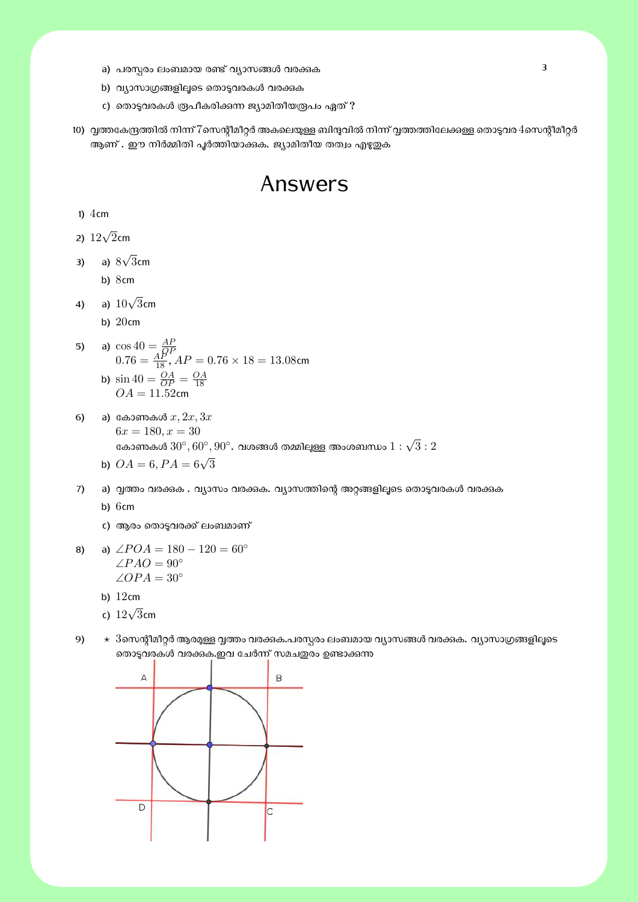- a) പരസ്പരം ലംബമായ രണ്ട് വ്യാസങ്ങൾ വരക്കുക
- b) വ്യാസാഗ്രങ്ങളിലൂടെ തൊടുവരകൾ വരക്കുക
- c) തൊടുവരകൾ രൂപീകരിക്കുന്ന ജ്യാമിതീയരൂപം ഏത് ?
- 10) വൃത്തകേന്ദ്രത്തിൽ നിന്ന് 7സെന്റീമീറ്റർ അകലെയുള്ള ബിന്ദുവിൽ നിന്ന് വൃത്തത്തിലേക്കുള്ള തൊടുവര 4സെന്റീമീറ്റർ ആണ് . ഈ നിർമ്മിതി പൂർത്തിയാക്കുക. ജ്യാമിതീയ തത്വം എഴുതുക

# Answers

1)  $4cm$ 

2) <sup>12</sup>*<sup>√</sup>* 2cm

- 3) a) 8 *√* 3cm
	- b) 8cm
- 4) a) <sup>10</sup>*<sup>√</sup>* 3cm
	- b) 20cm
- 5) a)  $\cos 40 = \frac{AP}{QP}$ <br> $0.76 = \frac{AP}{18}$ ,  $AP = 0.76 \times 18 = 13.08$ cm

b) 
$$
\sin 40 = \frac{OA}{OP} = \frac{OA}{18}
$$
  
 $OA = 11.52$ cm

- 6) a) േകാȐകൾ *x,* 2*x,* 3*x*  $6x = 180, x = 30$ കോണകൾ  $30^{\circ}, 60^{\circ}, 90^{\circ}$ . വശങ്ങൾ തമ്മിലുള്ള അംശബന്ധം  $1:\sqrt{3}:2$ 
	- b)  $OA = 6, PA = 6\sqrt{3}$
- 7) a) വൃത്തം വരക്കുക . വ്യാസം വരക്കുക. വ്യാസത്തിന്റെ അറ്റങ്ങളിലൂടെ തൊടുവരകൾ വരക്കുക

b) 6cm

- c) ആരം തൊടുവരക്ക് ലംബമാണ്
- 8) a)  $\angle POA = 180 120 = 60^\circ$ ∠*P AO* = 90*◦* ∠*OP A* = 30*◦*
	- b) 12cm
	- c) <sup>12</sup>*<sup>√</sup>* 3cm
- 9)  $\star$  3സെന്റീമീറ്റർ ആരമുള്ള വൃത്തം വരക്കുക.പരസ്പരം ലംബമായ വ്യാസങ്ങൾ വരക്കുക. വ്യാസാഗ്രങ്ങളിലൂടെ രൊട്ടവരകൾ വരക്കുക.ഇവ ചേർന്ന് സമചഇരം ഉണ്ടാക്കുന്ന

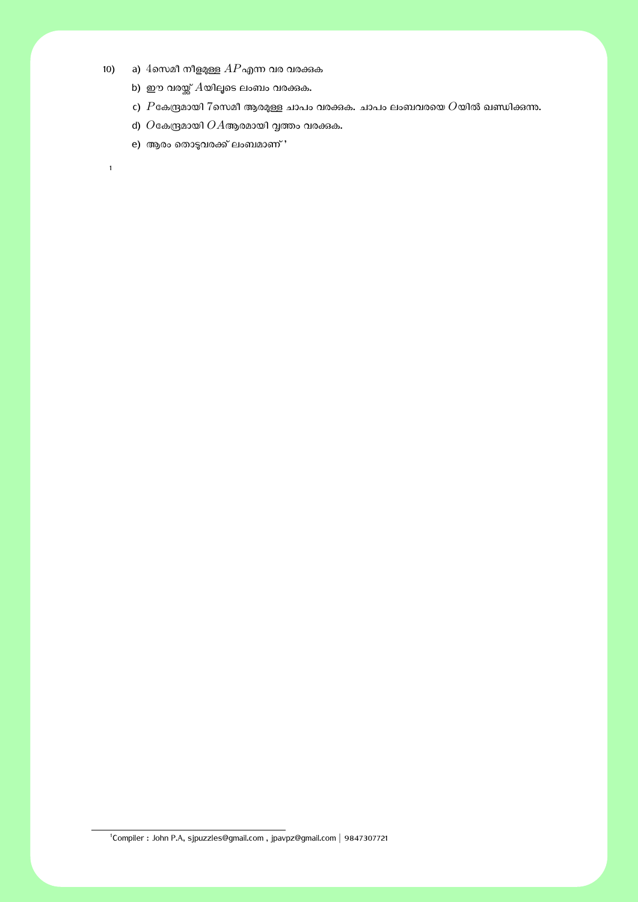- 10) a)  $4$ സെമീ നീളമുള്ള  $AP$ എന്ന വര വരക്കുക
	- b) ഈ വരയ്ക്ക്  $A$ യിലൂടെ ലംബം വരക്കുക.
	- c)  $P$ കേന്ദ്രമായി  $7$ സെമീ ആരമുള്ള ചാപം വരക്കുക. ചാപം ലംബവരയെ  $O$ യിൽ ഖണ്ഡിക്കന്നു.
	- d)  $O$ കേന്ദ്രമായി  $OA$ ആരമായി വൃത്തം വരക്കുക.
	- e) ആരം തൊടുവരക്ക് ലംബമാണ് '

1

1 Compiler : John P.A, sjpuzzles@gmail.com , jpavpz@gmail.com *|* 9847307721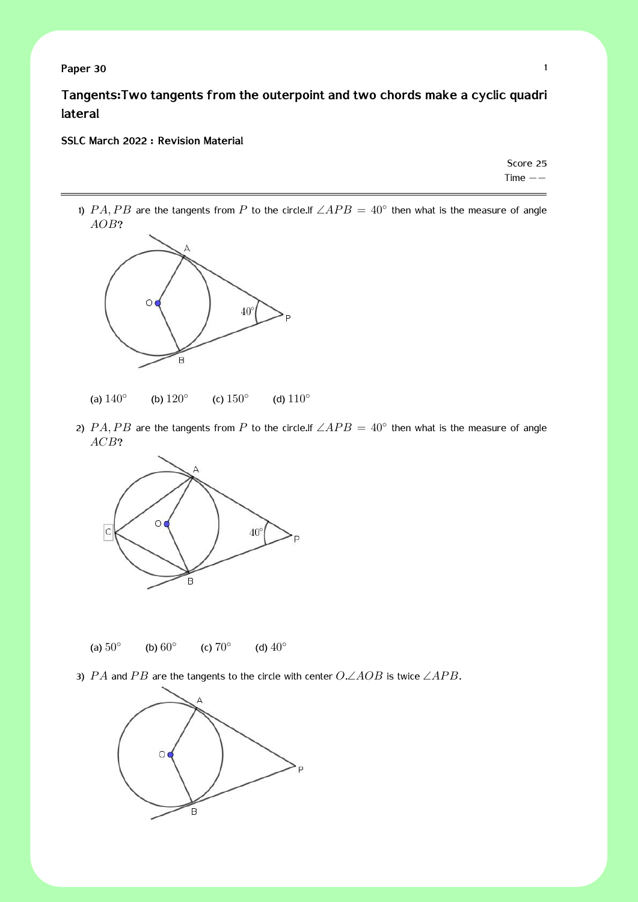**Paper 30** 1

**Tangents:Two tangents from the outerpoint and two chords make a cyclic quadri lateral**

#### **SSLC March 2022 : Revision Material**

Score 25 Time *−−*

1)  $PA, PB$  are the tangents from  $P$  to the circle.If  $\angle APB = 40^{\circ}$  then what is the measure of angle *AOB*?



- (a) 140*◦* (b) 120*◦* (c) 150*◦* (d) 110*◦*
- 2)  $PA, PB$  are the tangents from  $P$  to the circle.If  $\angle APB = 40^\circ$  then what is the measure of angle *ACB*?



- (a) 50*◦* (b) 60*◦* (c) 70*◦* (d) 40*◦*
- 3) *P A* and *P B* are the tangents to the circle with center *O*.∠*AOB* is twice ∠*AP B*.

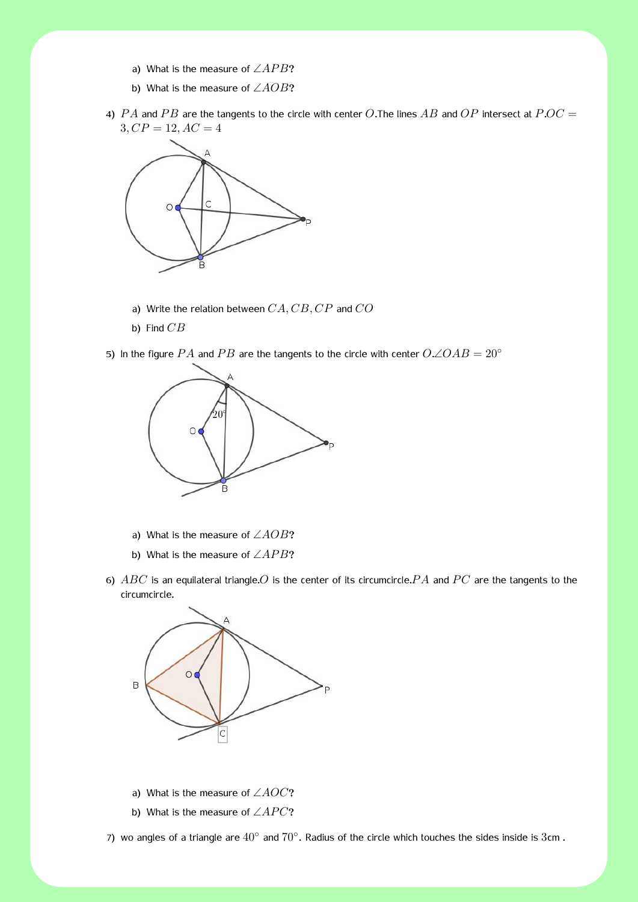- a) What is the measure of ∠*APB*?
- b) What is the measure of ∠*AOB*?
- 4) *P A* and *P B* are the tangents to the circle with center *O*.The lines *AB* and *OP* intersect at *P*.*OC* =  $3, CP = 12, AC = 4$



- a) Write the relation between *CA, CB, CP* and *CO*
- b) Find *CB*

5) In the figure *PA* and *PB* are the tangents to the circle with center  $O\angle OAB = 20^\circ$ 



- a) What is the measure of ∠*AOB*?
- b) What is the measure of ∠*AP B*?
- 6) *ABC* is an equilateral triangle.*O* is the center of its circumcircle.*P A* and *P C* are the tangents to the circumcircle.



- a) What is the measure of ∠*AOC*?
- b) What is the measure of ∠*APC*?

7) wo angles of a triangle are  $40^{\circ}$  and  $70^{\circ}$ . Radius of the circle which touches the sides inside is 3cm.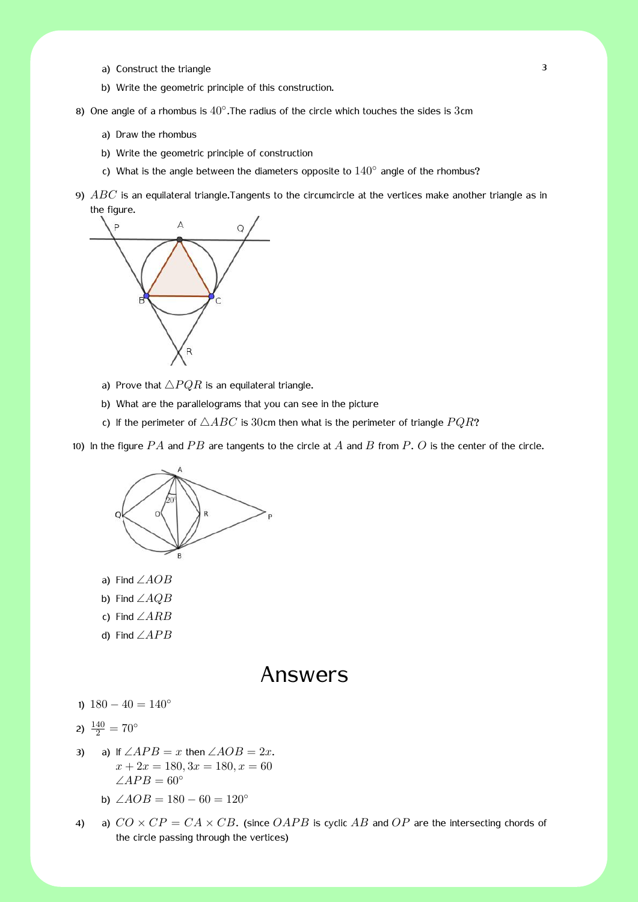- a) Construct the triangle 3
- b) Write the geometric principle of this construction.
- 8) One angle of a rhombus is  $40^\circ$ . The radius of the circle which touches the sides is 3cm
	- a) Draw the rhombus
	- b) Write the geometric principle of construction
	- c) What is the angle between the diameters opposite to 140*◦* angle of the rhombus?
- 9) *ABC* is an equilateral triangle.Tangents to the circumcircle at the vertices make another triangle as in the figure.



- a) Prove that  $\triangle PQR$  is an equilateral triangle.
- b) What are the parallelograms that you can see in the picture
- c) If the perimeter of  $\triangle ABC$  is 30cm then what is the perimeter of triangle  $PQR$ ?

10) In the figure *P A* and *P B* are tangents to the circle at *A* and *B* from *P*. *O* is the center of the circle.



- a) Find ∠*AOB*
- b) Find ∠*AQB*
- c) Find ∠*ARB*
- d) Find ∠*AP B*

### Answers

1) 180 *−* 40 = 140*◦*

$$
2) \frac{140}{2} = 70^{\circ}
$$

- 3) a) If  $\angle APB = x$  then  $\angle AOB = 2x$ .  $x + 2x = 180, 3x = 180, x = 60$  $∠APB = 60°$ 
	- b)  $\angle AOB = 180 60 = 120^\circ$
- 4) a)  $CO \times CP = CA \times CB$ . (since  $OAPB$  is cyclic AB and  $OP$  are the intersecting chords of the circle passing through the vertices)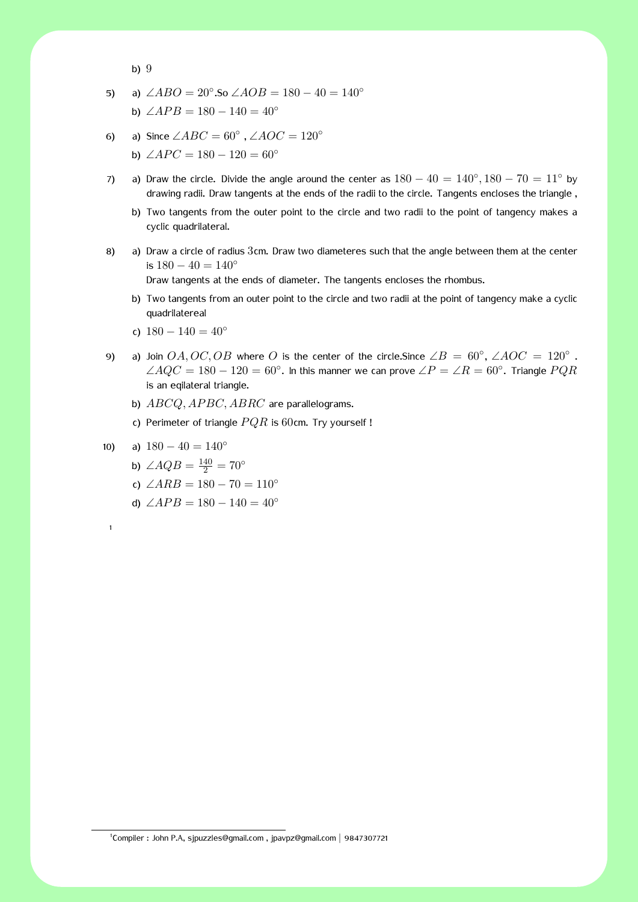$$
b) 9
$$

5) a) 
$$
\angle ABO = 20^{\circ}
$$
. So  $\angle AOB = 180 - 40 = 140^{\circ}$ 

b) 
$$
\angle APB = 180 - 140 = 40^{\circ}
$$

- 6) a) Since  $\angle ABC = 60^\circ$ ,  $\angle AOC = 120^\circ$ 
	- b)  $\angle APC = 180 120 = 60^\circ$
- 7) a) Draw the circle. Divide the angle around the center as  $180 40 = 140^\circ, 180 70 = 11^\circ$  by drawing radii. Draw tangents at the ends of the radii to the circle. Tangents encloses the triangle ,
	- b) Two tangents from the outer point to the circle and two radii to the point of tangency makes a cyclic quadrilateral.
- 8) a) Draw a circle of radius 3cm. Draw two diameteres such that the angle between them at the center is 180 *−* 40 = 140*◦*

Draw tangents at the ends of diameter. The tangents encloses the rhombus.

- b) Two tangents from an outer point to the circle and two radii at the point of tangency make a cyclic quadrilatereal
- c) 180 *−* 140 = 40*◦*
- 9) a) Join  $OA, OC, OB$  where O is the center of the circle.Since  $\angle B = 60^\circ$ ,  $\angle AOC = 120^\circ$ .  $∠AQC = 180 - 120 = 60°$ . In this manner we can prove  $∠P = ∠R = 60°$ . Triangle  $PQR$ is an eqilateral triangle.
	- b) *ABCQ, AP BC, ABRC* are parallelograms.
	- c) Perimeter of triangle *P QR* is 60cm. Try yourself !

$$
10) \qquad a) \quad 180 - 40 = 140^{\circ}
$$

1

- b)  $\angle AQB = \frac{140}{2} = 70^{\circ}$
- c) ∠*ARB* = 180 − 70 = 110<sup>°</sup>
- d)  $\angle APB = 180 140 = 40^\circ$

1 Compiler : John P.A, sjpuzzles@gmail.com , jpavpz@gmail.com *|* 9847307721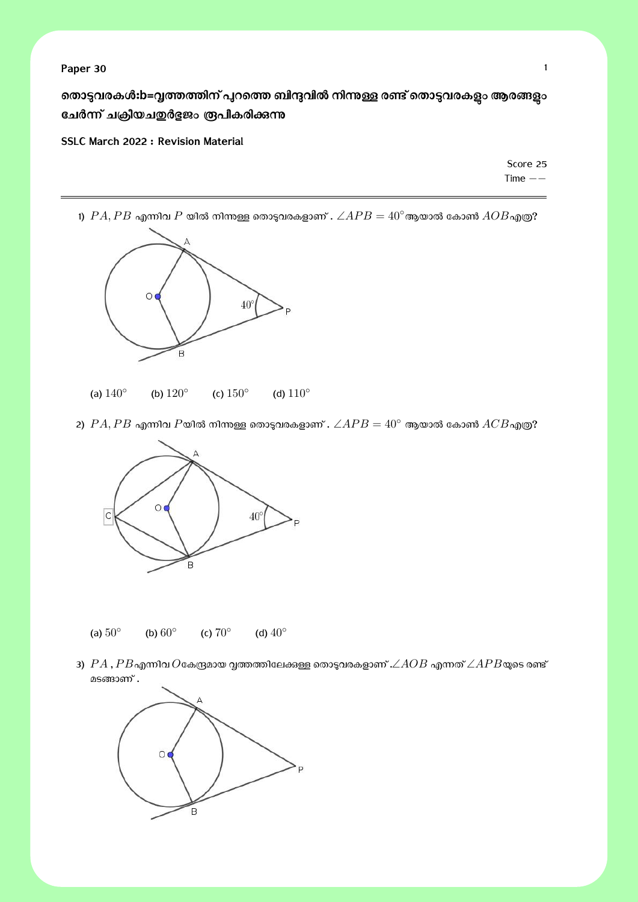തൊടുവരകൾ:b=വൃത്തത്തിന് പുറത്തെ ബിന്ദുവിൽ നിന്നുള്ള രണ്ട് തൊടുവരകള**ം ആരങ്ങളും** ചേർന്ന് ചക്രീയച**ഇർ**ളജം രൂപീകരിക്കുന്നു

**SSLC March 2022 : Revision Material**

Score 25 Time *−−*

1)  $PA, PB$  എന്നിവ  $P$  യിൽ നിന്നുള്ള തൊടുവരകളാണ് .  $\angle APB = 40^\circ$ ആയാൽ കോൺ  $AOB$ എത്ര?



- (a) 140*◦* (b) 120*◦* (c) 150*◦* (d) 110*◦*
- 2)  $PA, PB$  എന്നിവ  $P$ യിൽ നിന്നുള്ള തൊടുവരകളാണ് .  $\angle APB = 40^\circ$  ആയാൽ കോൺ  $ACB$ എത്ര?



- (a) 50*◦* (b) 60*◦* (c) 70*◦* (d) 40*◦*
- 3)  $PA$  ,  $PB$ എന്നിവ  $O$ കേന്ദ്രമായ വൃത്തത്തിലേക്കുള്ള തൊടുവരകളാണ് . $\angle AOB$  എന്നത്  $\angle APB$ യുടെ രണ്ട് മടങ്ങാണ് .

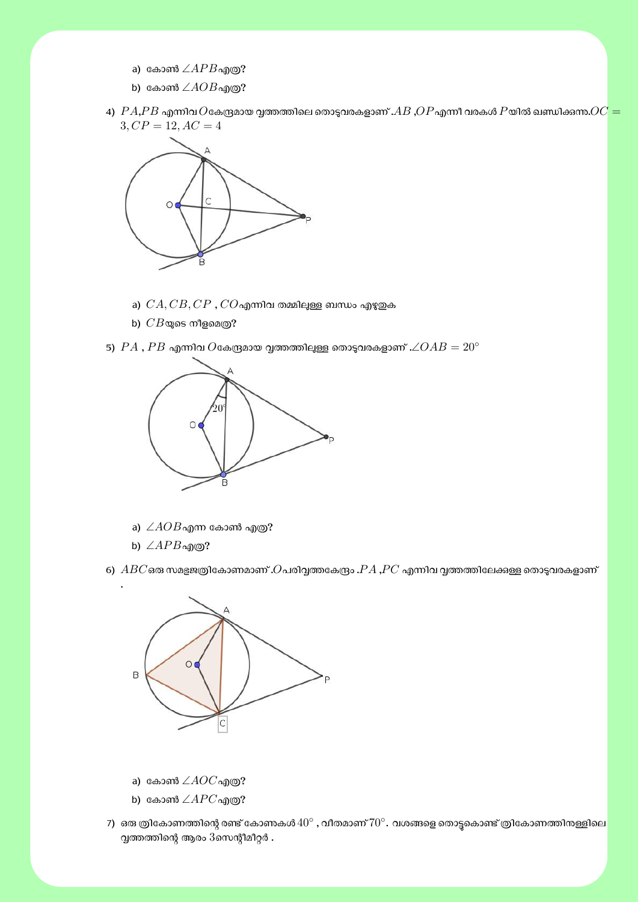- a) കോൺ ∠ $APB$ എത്ര?
- b) കോൺ  $∠AOB$ എത്ര?
- $4)$   $PA, PB$  എന്നിവ  $O$ കേന്ദ്രമായ വ്വത്തത്തിലെ തൊടുവരകളാണ് . $AB$  , $OP$ എന്നീ വരകൾ  $P$ യിൽ ഖണ്ഡിക്കന്ന. $OC =$  $3, CP = 12, AC = 4$



- a)  $CA, CB, CP$  ,  $CO$ എന്നിവ തമ്മിലുള്ള ബന്ധം എഴുതുക
- b)  $CB$ യുടെ നീളമെത്ര?

 $\mathcal{A}$ , *PB* എന്നിവ  $O$ കേന്ദ്രമായ വ്വത്തത്തിലുള്ള തൊടുവരകളാണ് . $\angle OAB = 20^\circ$ 



- a)  $∠AOB$ എന്ന കോൺ എത്ര?
- b)  $\angle APB$ എ $\odot$ ?

6)  $\emph{ABC}$ ഒരു സമഭുജത്രികോണമാണ് . $O$ പരിവൃത്തകേന്ദ്രം . $PA$  , $PC$  എന്നിവ വൃത്തത്തിലേക്കുള്ള തൊടുവരകളാണ്



- a) കോൺ ∠ $AOC$ എത്ര?
- b) കോൺ ∠ $APC$ എത്ര?
- 7) ഒരു ത്രികോണത്തിന്റെ രണ്ട് കോണകൾ  $40^\circ$  , വീതമാണ്  $70^\circ$ . വശങ്ങളെ തൊട്ടുകൊണ്ട് ത്രികോണത്തിനള്ളിലെ  $\alpha$ ത്തത്തിന്റെ ആരം  $3$ സെന്റീമീറ്റർ .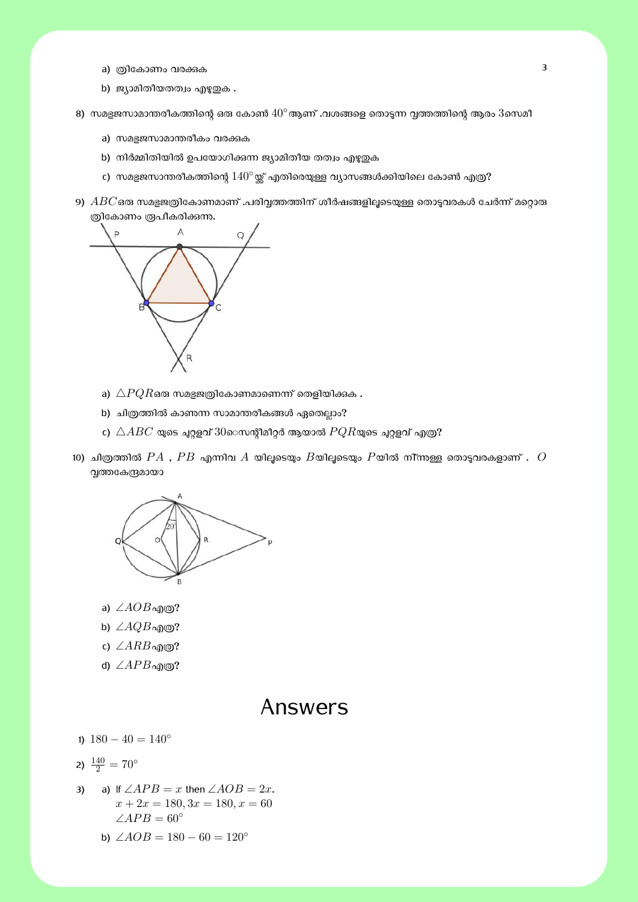- a) ത്രികോണം വരക്കുക
- b) ജ്യാമിതീയതത്വം എഴുതുക .
- 8) സമഭജസാമാന്തരീകത്തിന്റെ ഒരു കോൺ  $40^{\circ}$ ആണ് .വശങ്ങളെ തൊടുന്ന വത്തത്തിന്റെ ആരം  $3$ സെമീ
	- a) സമഭജസാമാന്തരീകം വരക്കുക
	- b) നിർമ്മിതിയിൽ ഉപയോഗിക്കന്ന ജ്യാമിതീയ തത്വം എഴുതുക
	- c) സമഭുജസാന്തരീകത്തിന്റെ  $140°$ യ്ക് എതിരെയുള്ള വ്യാസങ്ങൾക്കിയിലെ കോൺ എത്ര?
- 9)  $\emph{ABC}$ ഒരു സമളജത്രികോണമാണ് .പരിവൃത്തത്തിന് ശീർഷങ്ങളിലൂടെയുള്ള തൊടുവരകൾ ചേർന്ന് മറ്റൊരു ത്രികോണം രൂപീകരിക്കുന്നു.



- a)  $\triangle PQR$ ഒരു സമഭജത്രികോണമാണെന്ന് തെളിയിക്കുക .
- b) ചിത്രത്തിൽ കാണന്ന സാമാന്തരീകങ്ങൾ ഏതെല്ലാം?
- c)  $\triangle ABC$  യുടെ ചുറ്റളവ്  $30$ െസന്റീമീറ്റർ ആയാൽ  $PQR$ യുടെ ചുറ്റളവ് എത്ര?
- $10)$  ചിത്രത്തിൽ  $PA$  ,  $PB$  എന്നിവ  $A$  യിലൂടെയും  $B$ യിലൂടെയും  $P$ യിൽ നി്ന്നുള്ള തൊടുവരകളാണ് .  $O$ വൃത്തകേന്ദ്രമായാ



- a) ∠*AOB* എ©?
- b)  $\angle AQB$ എ $\odot$ ?
- c) ∠*ARB*എɃ?
- d) ∠*APB* എ©?

### Answers

1) 180 *−* 40 = 140*◦*

$$
2) \frac{140}{2} = 70^{\circ}
$$

- 3) a) If  $\angle APB = x$  then  $\angle AOB = 2x$ .  $x + 2x = 180, 3x = 180, x = 60$  $∠APB = 60°$ 
	- b)  $\angle AOB = 180 60 = 120^\circ$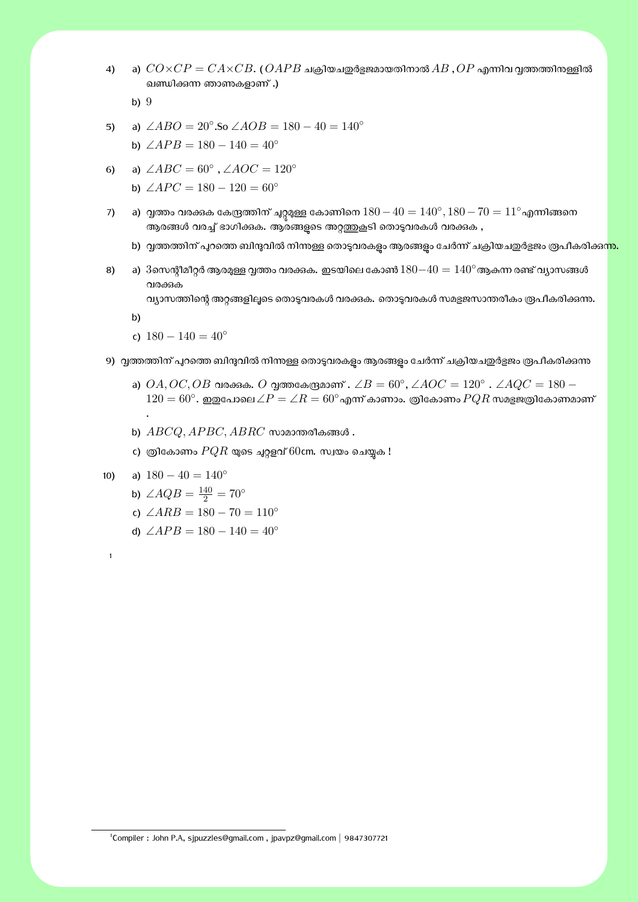4) a)  $CO \times CP = C A \times CB$ . ( $OAPB$  ചക്രിയചഇർളജമായതിനാൽ  $AB$  ,  $OP$  എന്നിവ വൃത്തത്തിനുള്ളിൽ ഖണ്ഡിക്കുന്ന ഞാണുകളാണ് .)

b) 9

5) a) 
$$
\angle ABO = 20^{\circ} . \text{So } \angle AOB = 180 - 40 = 140^{\circ}
$$
  
b)  $\angle APB = 180 - 140 = 40^{\circ}$ 

- 6) a)  $\angle ABC = 60^\circ$ ,  $\angle AOC = 120^\circ$ 
	- b)  $\angle APC = 180 120 = 60^\circ$
- 7) a) ΘȮം വര'nക േകʣȮിന് ƷѰ̮ч േകാണിെന 180*−*40 = 140*◦ ,* 180*−*70 = 11*◦*എʭിƴെന ആരങ്ങൾ വരച്ച് ഭാഗിക്കക. ആരങ്ങളുടെ അറ്റത്തുകൂടി തൊടുവരകൾ വരക്കക ,
	- b) വൃത്തത്തിന് പുറത്തെ ബിന്ദുവിൽ നിന്നള്ള തൊടുവരകളം ആരങ്ങളം ചേർന്ന് ചക്രിയചഇർളജം രൂപീകരിക്ക<mark>ന്നു.</mark>
- 8) a)  $3$ സെന്റീമീറ്റർ ആരമുള്ള വ്വത്തം വരക്കുക. ഇടയിലെ കോൺ $180-40 = 140^\circ$ ആകുന്ന രണ്ട് വ്യാസങ്ങൾ വരക്കുക

വ്യാസത്തിന്റെ അറ്റങ്ങളിലൂടെ തൊട്ടവരകൾ വരക്കുക. തൊട്ടവരകൾ സമളജസാന്തരീകം രൂപീകരിക്കുന്നു.

b)

.

1

- c) 180 *−* 140 = 40*◦*
- 9) വൃത്തത്തിന് പുറത്തെ ബിന്ദുവിൽ നിന്നള്ള തൊട്ടവരകളം ആരങ്ങളം ചേർന്ന് ചക്രിയചഇർഭ്ടജം രൂപീകരിക്കുന്ന
	- a)  $OA, OC, OB$  വരക്കുക.  $O$  വൃത്തകേന്ദ്രമാണ് .  $\angle B = 60^\circ$ ,  $\angle AOC = 120^\circ$  .  $\angle AQC = 180$   $120 = 60^\circ$ . ഇഇപോലെ $\angle P = \angle R = 60^\circ$ എന്ന് കാണാം. ത്രികോണം  $PQR$  സമളജത്രികോണമാണ്
	- b)  $\textit{ABCQ}, \textit{APBC}, \textit{ABRC}$  സാമാന്തരീകങ്ങൾ .
	- c) ത്രികോണം  $PQR$  യുടെ ചുറ്റളവ്  $60$ cm. സ്വയം ചെയ്യക !

$$
10) \qquad a) \; 180 - 40 = 140^{\circ}
$$

- b)  $\angle AQB = \frac{140}{2} = 70^{\circ}$
- c)  $\angle ARB = 180 70 = 110^\circ$
- d)  $\angle APB = 180 140 = 40^\circ$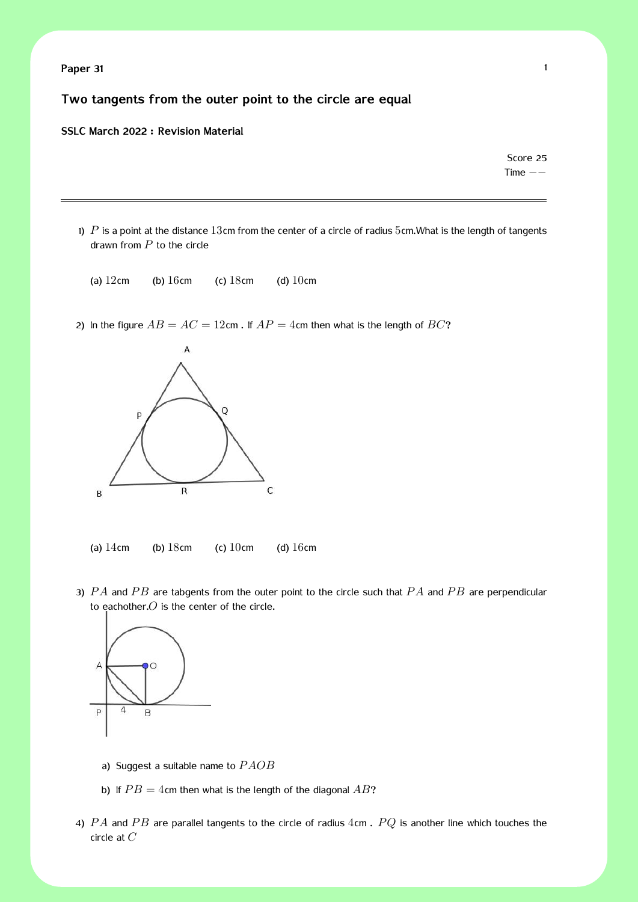**Paper 31** 1

**Two tangents from the outer point to the circle are equal**

#### **SSLC March 2022 : Revision Material**

Score 25 Time *−−*

- 1)  $P$  is a point at the distance 13cm from the center of a circle of radius 5cm. What is the length of tangents drawn from *P* to the circle
	- (a)  $12 \text{cm}$  (b)  $16 \text{cm}$  (c)  $18 \text{cm}$  (d)  $10 \text{cm}$
- 2) In the figure  $AB = AC = 12$ cm. If  $AP = 4$ cm then what is the length of  $BC$ ?



(a)  $14 \text{cm}$  (b)  $18 \text{cm}$  (c)  $10 \text{cm}$  (d)  $16 \text{cm}$ 

3) *P A* and *P B* are tabgents from the outer point to the circle such that *P A* and *P B* are perpendicular to eachother.*O* is the center of the circle.



- a) Suggest a suitable name to *P AOB*
- b) If  $PB = 4$ cm then what is the length of the diagonal  $AB$ ?
- 4) *P A* and *P B* are parallel tangents to the circle of radius 4cm . *P Q* is another line which touches the circle at *C*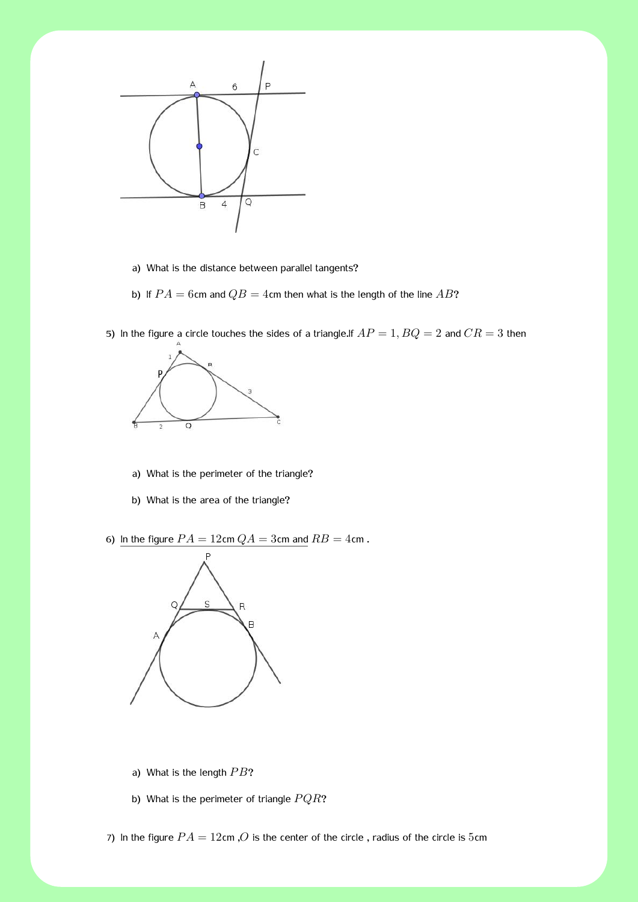

- a) What is the distance between parallel tangents?
- b) If  $PA = 6$ cm and  $QB = 4$ cm then what is the length of the line  $AB$ ?
- 5) In the figure a circle touches the sides of a triangle.If  $AP = 1$ ,  $BQ = 2$  and  $CR = 3$  then



- a) What is the perimeter of the triangle?
- b) What is the area of the triangle?

6) In the figure  $PA = 12$ cm  $QA = 3$ cm and  $RB = 4$ cm.



- a) What is the length PB?
- b) What is the perimeter of triangle  $PQR$ ?

7) In the figure  $PA = 12$ cm, O is the center of the circle, radius of the circle is 5cm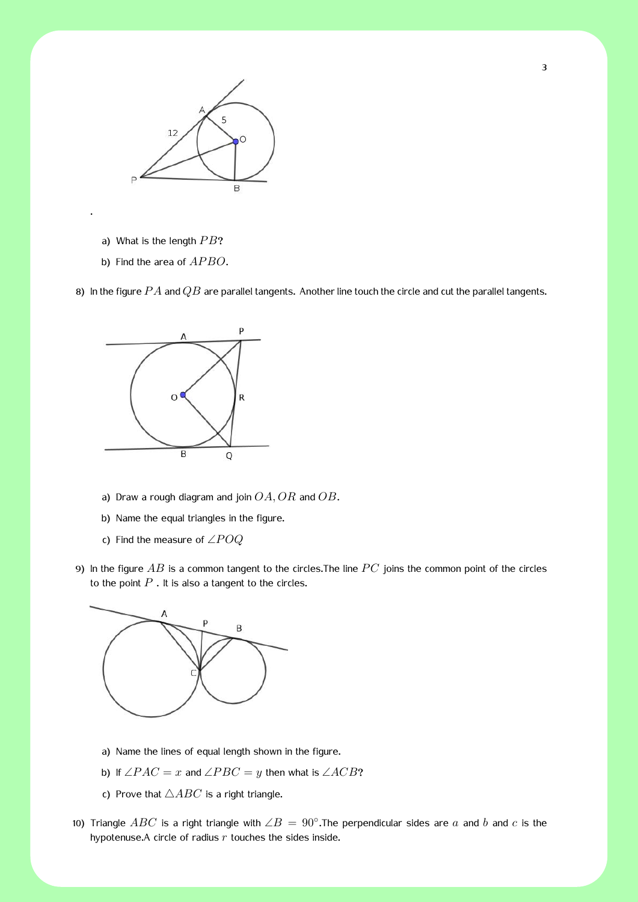

a) What is the length *PB*?

.

b) Find the area of  $APBO$ .

8) In the figure *P A* and *QB* are parallel tangents. Another line touch the circle and cut the parallel tangents.



- a) Draw a rough diagram and join *OA, OR* and *OB*.
- b) Name the equal triangles in the figure.
- c) Find the measure of ∠*P OQ*
- 9) In the figure AB is a common tangent to the circles. The line PC joins the common point of the circles to the point  $P$  . It is also a tangent to the circles.



- a) Name the lines of equal length shown in the figure.
- **b)** If  $\angle PAC = x$  and  $\angle PBC = y$  then what is  $\angle ACB$ ?
- c) Prove that  $\triangle ABC$  is a right triangle.
- 10) Triangle *ABC* is a right triangle with ∠*B* = 90*◦* .The perpendicular sides are *a* and *b* and *c* is the hypotenuse.A circle of radius *r* touches the sides inside.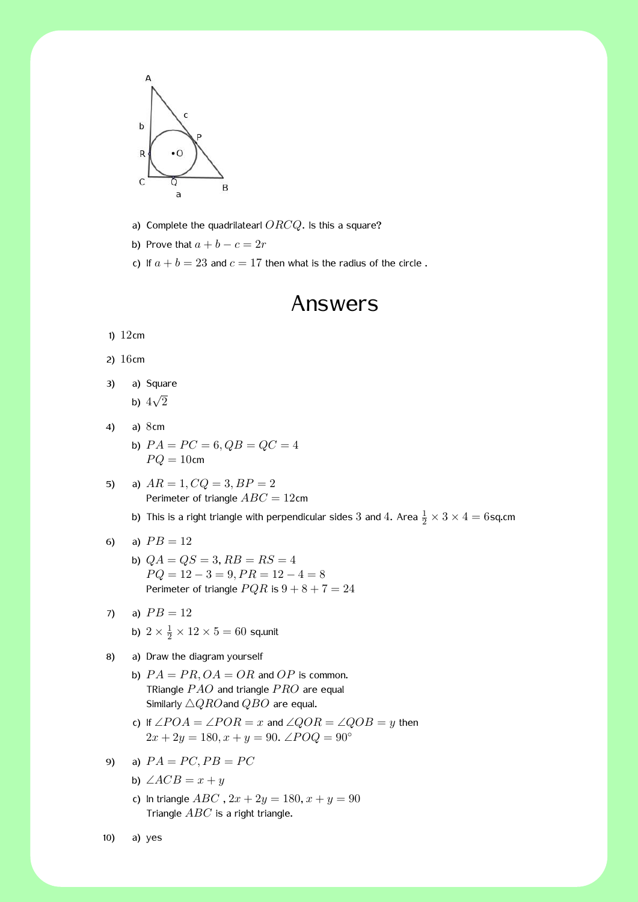

- a) Complete the quadrilatearl *ORCQ*. Is this a square?
- b) Prove that  $a + b c = 2r$
- c) If  $a + b = 23$  and  $c = 17$  then what is the radius of the circle.

# Answers

1) 12cm

- 2) 16cm
- 3) a) Square

b)  $4\sqrt{2}$ 

- 4) a) 8cm
	- b)  $PA = PC = 6, QB = QC = 4$  $PQ = 10$ cm
- 5) a)  $AR = 1, CQ = 3, BP = 2$ Perimeter of triangle *ABC* = 12cm
	- b) This is a right triangle with perpendicular sides  $3$  and  $4$ . Area  $\frac{1}{2} \times 3 \times 4 = 6$ sq.cm
- 6) a)  $PB = 12$ 
	- b)  $QA = QS = 3, RB = RS = 4$  $PQ = 12 - 3 = 9, PR = 12 - 4 = 8$ Perimeter of triangle  $PQR$  is  $9 + 8 + 7 = 24$
- 7) a)  $PB = 12$ 
	- b)  $2 \times \frac{1}{2} \times 12 \times 5 = 60$  sq.unit
- 8) a) Draw the diagram yourself
	- b)  $PA = PR$ ,  $OA = OR$  and  $OP$  is common. TRiangle *P AO* and triangle *P RO* are equal Similarly *△QRO*and *QBO* are equal.
	- *c*) If ∠*POA* = ∠*POR* = *x* and ∠*QOR* = ∠*QOB* = *y* then  $2x + 2y = 180, x + y = 90$ . ∠ $POQ = 90°$
- 9) a)  $PA = PC, PB = PC$ 
	- b)  $\angle ACB = x + y$
	- c) In triangle  $ABC$ ,  $2x + 2y = 180$ ,  $x + y = 90$ Triangle *ABC* is a right triangle.
- 10) a) yes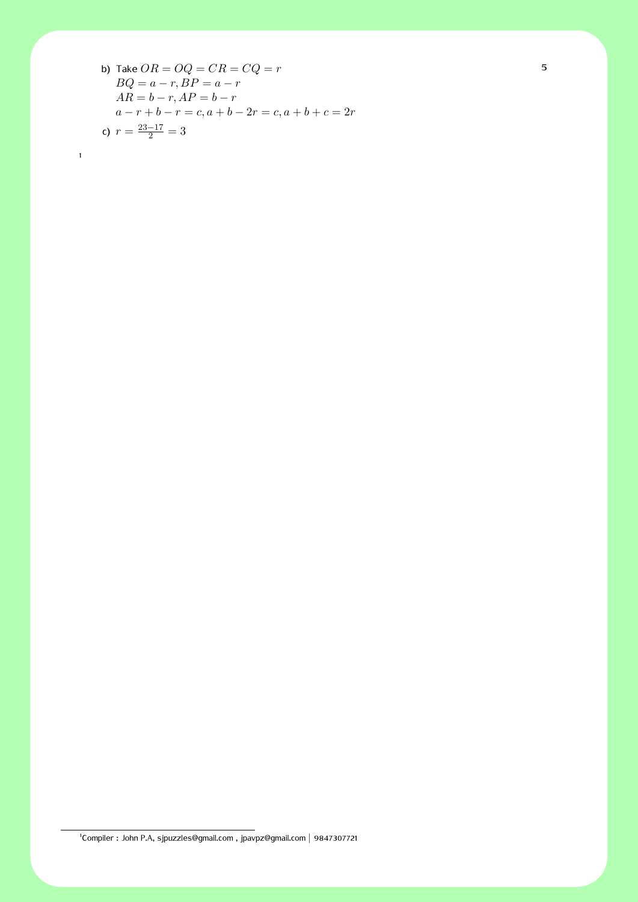b) Take 
$$
OR = OQ = CR = CQ = r
$$
  
\n $BQ = a - r, BP = a - r$   
\n $AR = b - r, AP = b - r$   
\n $a - r + b - r = c, a + b - 2r = c, a + b + c = 2r$   
\nc)  $r = \frac{23-17}{2} = 3$ 

1

1 Compiler : John P.A, sjpuzzles@gmail.com , jpavpz@gmail.com *|* 9847307721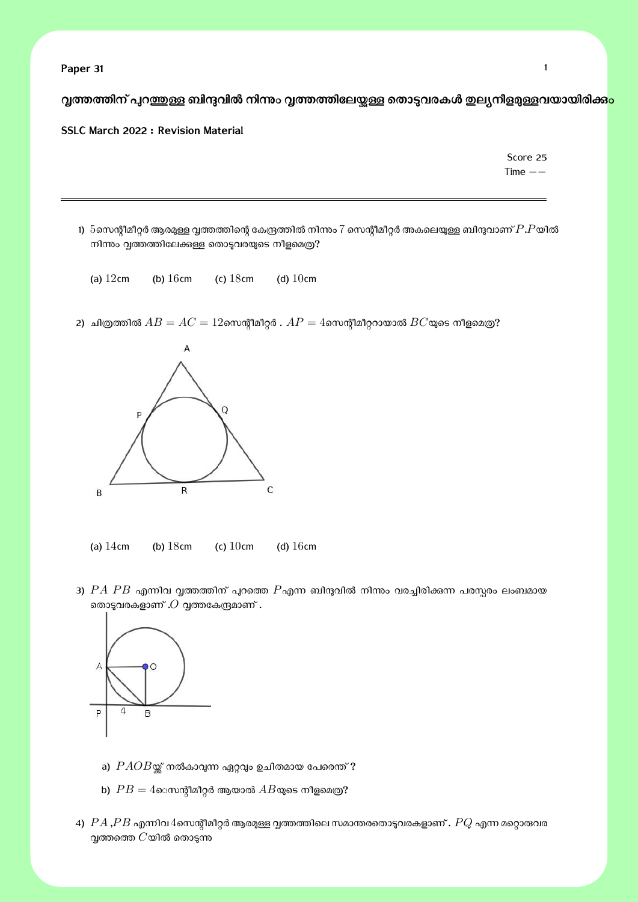**Paper 31** 1

**്വ്വത്തത്തിന് പ്പറ**ഇ്തള്ള ബിന്ദവിൽ നിന്നും വ്വത്തത്തിലേയ്കള്ള തൊട്ടവരകൾ ഇല്യനീളമുള്ളവയായിരിക്ക<mark>ാം</mark>

#### **SSLC March 2022 : Revision Material**

Score 25 Time *−−*

- 1)  $5$ സെന്റീമീറ്റർ ആരമുള്ള വ്വത്തത്തിന്റെ കേന്ദ്രത്തിൽ നിന്നം 7 സെന്റീമീറ്റർ അകലെയുള്ള ബിന്ദുവാണ്  $P.P$ യിൽ നിന്നും വൃത്തത്തിലേക്കുള്ള തൊടുവരയുടെ നീളമെത്ര?
	- (a)  $12cm$  (b)  $16cm$  (c)  $18cm$  (d)  $10cm$

2) ചിത്രത്തിൽ  $AB = AC = 12$ സെന്റീമീറ്റർ .  $AP = 4$ സെന്റീമീററായാൽ  $BC$ യുടെ നീളമെത്ര?



(a)  $14 \text{cm}$  (b)  $18 \text{cm}$  (c)  $10 \text{cm}$  (d)  $16 \text{cm}$ 

3)  $PA$   $PB$  എന്നിവ വൃത്തത്തിന് പുറത്തെ  $P$ എന്ന ബിന്ദുവിൽ നിന്നും വരച്ചിരിക്കുന്ന പരസ്പരം ലംബമായ രതാടുവരകളാണ് . $O$  വൃത്തകേന്ദ്രമാണ് .



- a)  $PAOB$ യ്ക് നൽകാവുന്ന ഏറ്റവും ഉചിതമായ പേരെന്ത് ?
- b)  $PB = 4$ െസന്റീമീറ്റർ ആയാൽ  $AB$ യുടെ നീളമെത്ര?
- 4)  $PA$ , $PB$  എന്നിവ $4$ സെന്റീമീറ്റർ ആരമുള്ള വ്വത്തത്തിലെ സമാന്തരതൊടുവരകളാണ് .  $PQ$  എന്ന മറ്റൊരുവര  $Q$ ത്തത്തെ  $C$ യിൽ തൊടുന്ന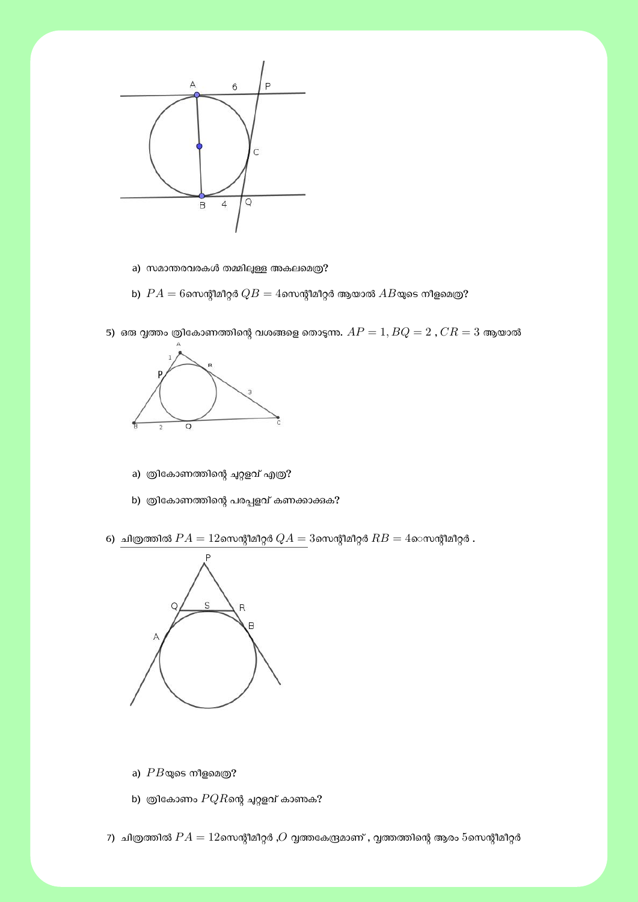

- a) സമാന്തരവരകൾ തമ്മിലുള്ള അകലമെത്ര?
- b)  $\ PA = 6$ സെന്റീമീറ്റർ  $QB = 4$ സെന്റീമീറ്റർ ആയാൽ  $AB$ യുടെ നീളമെത്ര $?$



5) ഒരു വൃത്തം ത്രികോണത്തിന്റെ വശങ്ങളെ തൊടുന്നം.  $AP = 1, BQ = 2$  ,  $CR = 3$  ആയാൽ

- a) ത്രികോണത്തിന്റെ ചുറ്റളവ് എത്ര?
- b) ത്രികോണത്തിന്റെ പരപ്പളവ് കണക്കാക്കുക?
- 6) <u>ചിത്രത്തിൽ  $PA = 12$ സെന്റീമീറ്റർ  $QA = 3$ സെന്റീമീറ്റർ  $RB = 4$ െസന്റീമീറ്റർ .</u>



- a)  $PB$ യുടെ നീളമെത്ര?
- b) തികോണം  $PQR$ ന്റെ ചുറ്റളവ് കാണക?
- 7) ചിത്രത്തിൽ  $PA = 12$ സെന്റീമീറ്റർ , $O$  വ്വത്തകേന്ദ്രമാണ് , വ്വത്തത്തിന്റെ ആരം  $5$ സെന്റീമീറ്റർ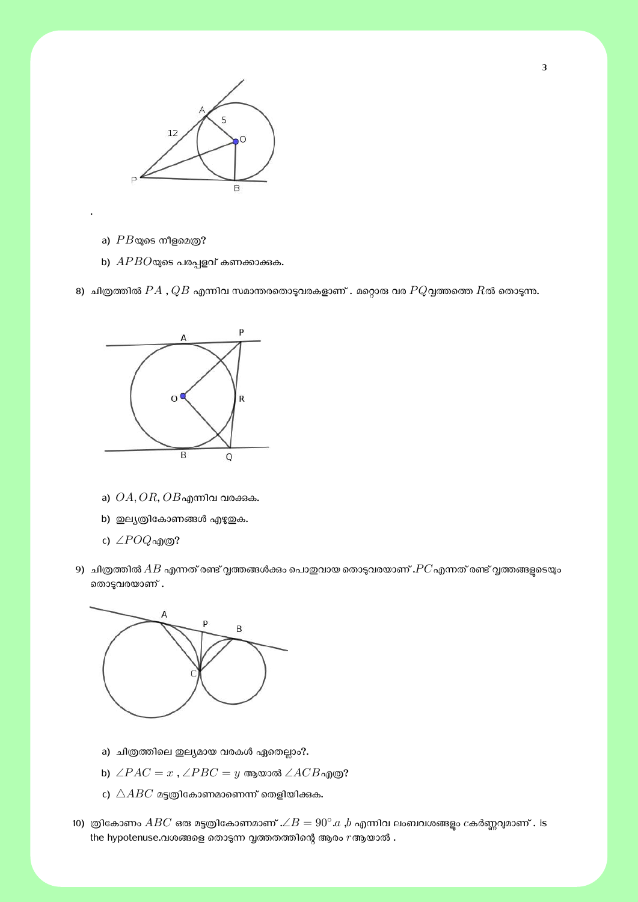

a)  $PB$ യുടെ നീളമെത്ര?

.

b)  $APBO$ യുടെ പരപ്പളവ് കണക്കാക്കക.

8) ചിത്രത്തിൽ  $PA$  ,  $QB$  എന്നിവ സമാന്തരതൊടുവരകളാണ് . മറ്റൊരു വര  $PQ$ വ്വത്തത്തെ  $R$ ൽ തൊടുന്നു.



- a)  $OA, OR, OB$ എന്നിവ വരക്കുക.
- b) ഇല്യത്രികോണങ്ങൾ എഴുഇക.
- c) ∠*P OQ*എɃ?
- 9) ചിത്രത്തിൽ  $AB$  എന്നത് രണ്ട് വ്വത്തങ്ങൾക്കം പൊതുവായ തൊടുവരയാണ് . $PC$ എന്നത് രണ്ട് വ്വത്തങ്ങളടെയും രൊട്ടവരയാണ് .



- a) ചിത്രത്തിലെ ഇല്യമായ വരകൾ ഏതെല്ലാം?.
- b) ∠*P AC* = *x* , ∠*P BC* = *y* ആയാൽ ∠*ACB*എɃ?
- c)  $\triangle ABC$  മട്ടത്രികോണമാണെന്ന് തെളിയിക്കുക.
- 10) ത്രികോണം  $ABC$  ഒരു മട്ടത്രികോണമാണ് . $\angle B=90^\circ.a$  , $b$  എന്നിവ ലംബവശങ്ങളും  $c$ കർണ്ണവുമാണ് . is the hypotenuse.വശങ്ങളെ തൊടുന്ന വൃത്തതത്തിന്റെ ആരം  $r$ ആയാൽ .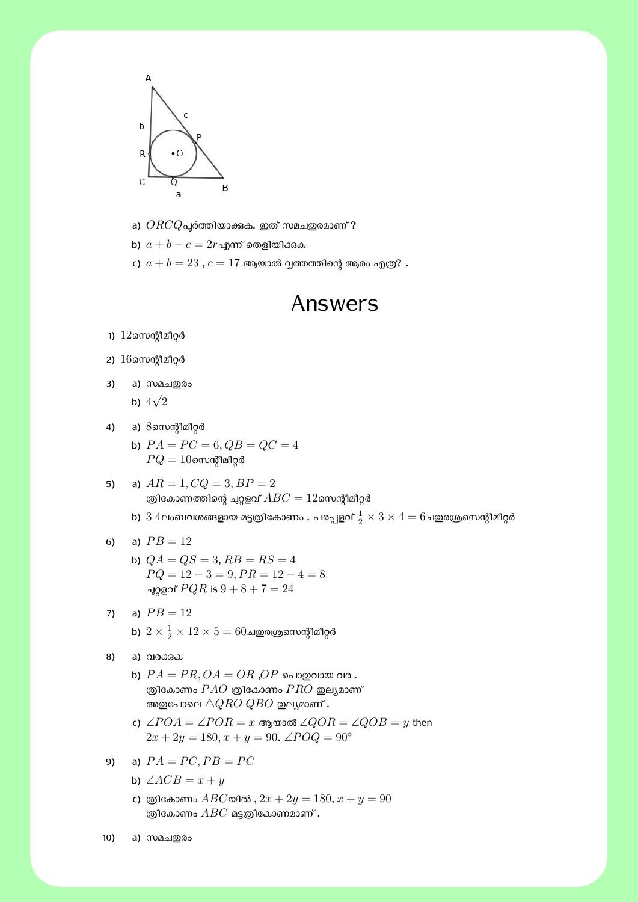

a)  $ORCQ$ പൂർത്തിയാക്കുക. ഇത് സമചഇരമാണ് ?

b)  $a + b - c = 2r$ എന്ന് തെളിയിക്കുക

c)  $a + b = 23$  ,  $c = 17$  ആയാൽ വൃത്തത്തിന്റെ ആരം എത്ര? .

### Answers

- 1)  $12$ സെന്റീമീറ്റർ
- 2)  $16$ സെന്റീമീറ്റർ
- 3) a) സമച**ഇ**രം

b)  $4\sqrt{2}$ 

- 4) a) 8സെന്റീമീറ്റർ
	- b)  $PA = PC = 6, QB = QC = 4$  $PQ = 10$ സെന്റീമീറ്റർ
- 5) a)  $AR = 1, CQ = 3, BP = 2$ ത്രികോണത്തിന്റെ ചുറ്റളവ്  $ABC = 12$ സെന്റീമീറ്റർ
	- b)  $3$   $4$ ലംബവശങ്ങളായ മട്ടത്രികോണം . പരപ്പളവ്  $\frac{1}{2}\times 3 \times 4 = 6$ ചഇരശ്രസെന്റീമീറ്റർ
- 6) a)  $PB = 12$ 
	- b)  $QA = QS = 3, RB = RS = 4$  $PQ = 12 - 3 = 9, PR = 12 - 4 = 8$ ച്ചറ്റളവ്  $PQR$  is  $9 + 8 + 7 = 24$
- 7) a)  $PB = 12$ b)  $2\times\frac{1}{2}\times12\times5=60$ ചഇരശ്രസെന്റീമീറ്റർ
- 8) a) വരക്കുക
	- b)  $PA = PR$ ,  $OA = OR$ ,  $OP$  പൊതുവായ വര.  $\Box$ ആികോണം  $PAO$  ത്രികോണം  $PRO$  ഇല്യമാണ് അഇപോലെ  $\triangle QRO~QBO$  ഇല്യമാണ് .
	- c) ∠*P OA* = ∠*P OR* = *x* ആയാൽ ∠*QOR* = ∠*QOB* = *y* then  $2x + 2y = 180, x + y = 90$ . ∠ $POQ = 90°$
- 9) a)  $PA = PC, PB = PC$ 
	- b)  $\angle ACB = x + y$
	- c) ത്രികോണം  $ABC$ യിൽ ,  $2x + 2y = 180$ ,  $x + y = 90$ ത്രികോണം  $ABC$  മട്ടത്രികോണമാണ് .

10) a) സമച**ഇ**രം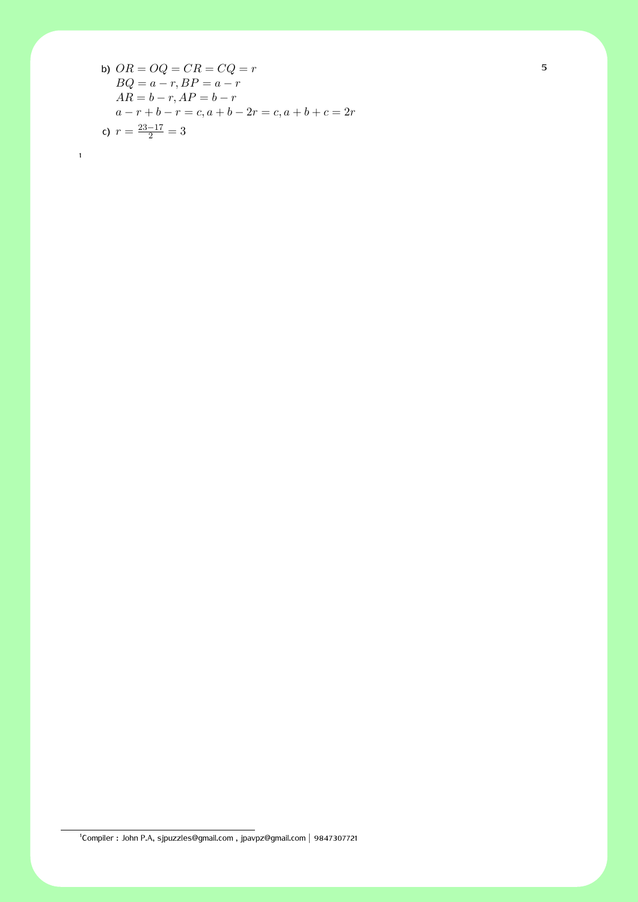b) 
$$
OR = OQ = CR = CQ = r
$$
  
\n $BQ = a - r, BP = a - r$   
\n $AR = b - r, AP = b - r$   
\n $a - r + b - r = c, a + b - 2r = c, a + b + c = 2r$   
\nc)  $r = \frac{23-17}{2} = 3$ 

1

1 Compiler : John P.A, sjpuzzles@gmail.com , jpavpz@gmail.com *|* 9847307721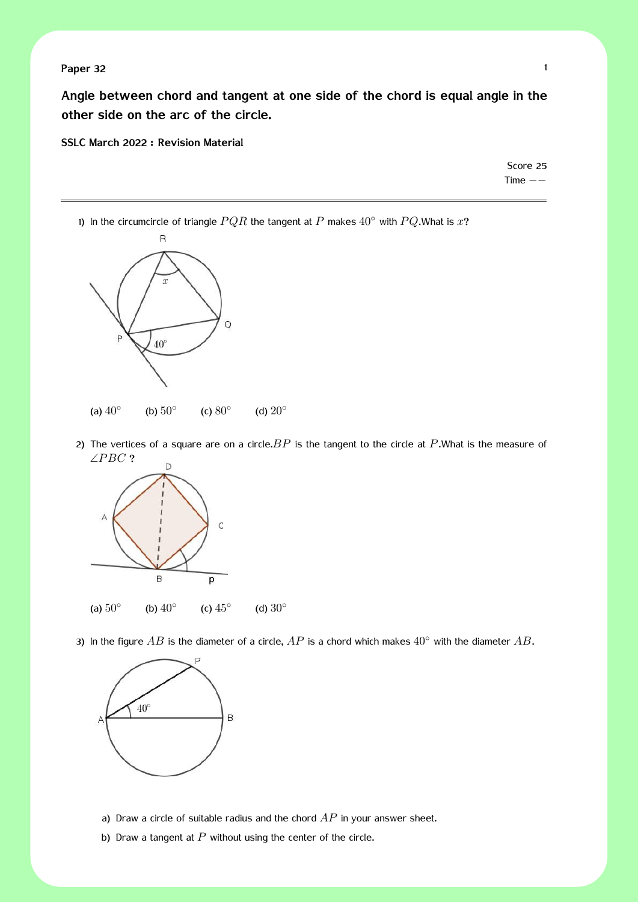### **Paper 32** 1

**Angle between chord and tangent at one side of the chord is equal angle in the other side on the arc of the circle.**

#### **SSLC March 2022 : Revision Material**

Score 25 Time *−−*

1) In the circumcircle of triangle *P QR* the tangent at *P* makes 40*◦* with *P Q*.What is *x*?



2) The vertices of a square are on a circle.*BP* is the tangent to the circle at *P*.What is the measure of ∠*P BC* ?



3) In the figure *AB* is the diameter of a circle, *AP* is a chord which makes 40*◦* with the diameter *AB*.



- a) Draw a circle of suitable radius and the chord *AP* in your answer sheet.
- b) Draw a tangent at  $P$  without using the center of the circle.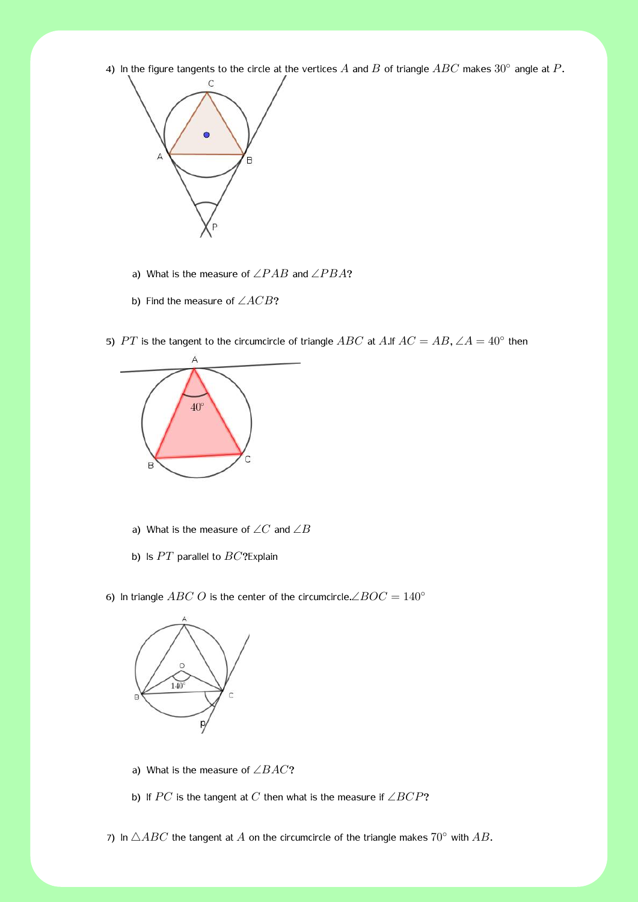2) In the figure tangents to the circle at the vertices  $A$  and  $B$  of triangle  $ABC$  makes  $30^{\circ}$  angle at  $P$ .



- a) What is the measure of ∠*P AB* and ∠*P BA*?
- b) Find the measure of ∠*ACB*?

5)  $PT$  is the tangent to the circumcircle of triangle  $ABC$  at  $A$ .If  $AC = AB$ ,  $\angle A = 40^{\circ}$  then



- a) What is the measure of ∠*C* and ∠*B*
- b) Is PT parallel to *BC*?Explain

6) In triangle *ABC O* is the center of the circumcircle. $\angle BOC = 140^\circ$ 



- a) What is the measure of ∠*BAC*?
- b) If *P C* is the tangent at *C* then what is the measure if ∠*BCP*?

7) In  $\triangle ABC$  the tangent at  $\hat{A}$  on the circumcircle of the triangle makes  $70^\circ$  with  $AB$ .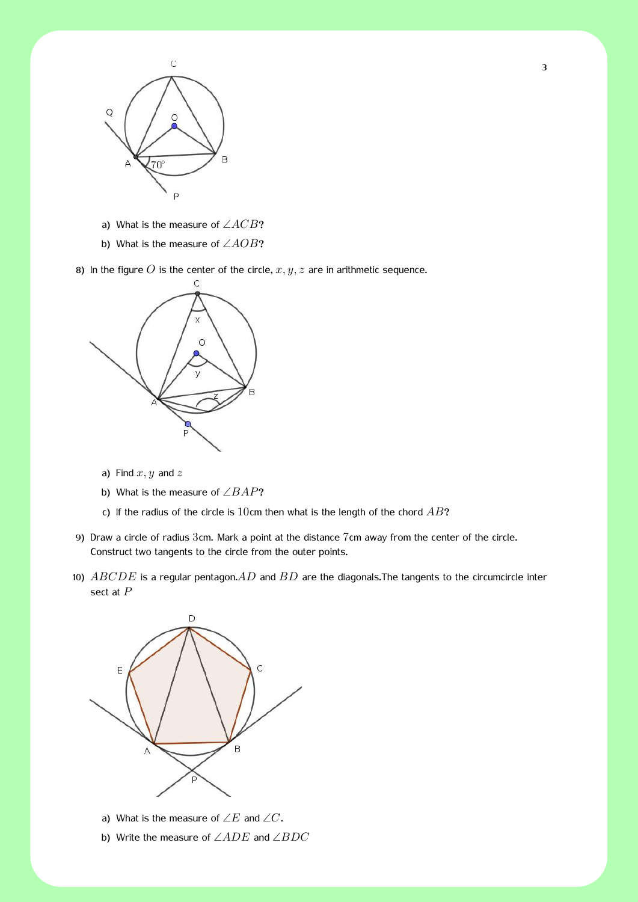

- a) What is the measure of ∠*ACB*?
- b) What is the measure of ∠*AOB*?

8) In the figure *O* is the center of the circle,  $x, y, z$  are in arithmetic sequence.



- a) Find *x, y* and *z*
- b) What is the measure of ∠*BAP*?
- c) If the radius of the circle is 10cm then what is the length of the chord *AB*?
- 9) Draw a circle of radius 3cm. Mark a point at the distance 7cm away from the center of the circle. Construct two tangents to the circle from the outer points.
- 10) *ABCDE* is a regular pentagon.*AD* and *BD* are the diagonals.The tangents to the circumcircle inter sect at *P*



- a) What is the measure of ∠*E* and ∠*C*.
- b) Write the measure of ∠*ADE* and ∠*BDC*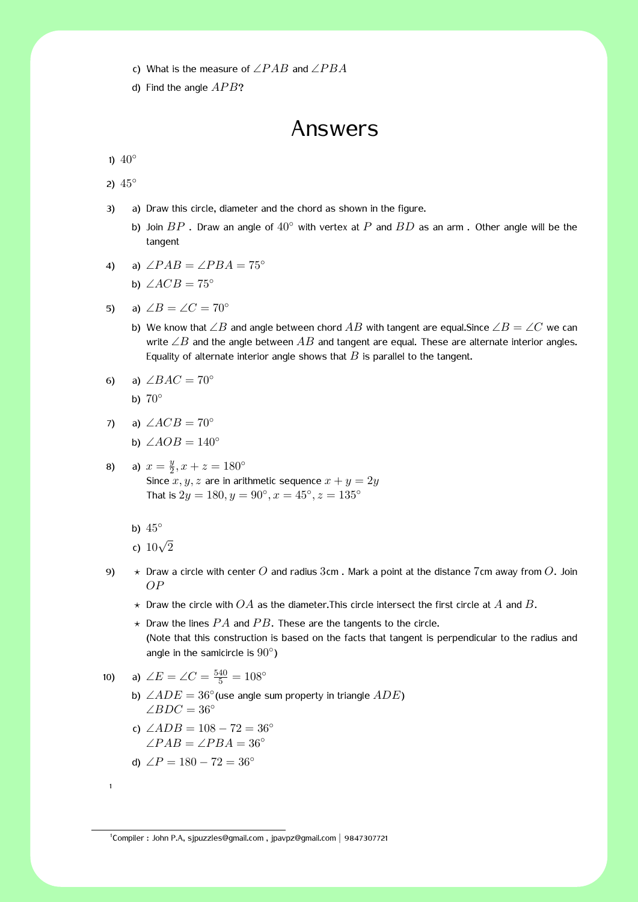4 c) What is the measure of ∠*P AB* and ∠*P BA*

d) Find the angle  $APB$ ?

### Answers

1) 40<sup>°</sup>

2) 45*◦*

- 3) a) Draw this circle, diameter and the chord as shown in the figure.
	- b) Join *BP* . Draw an angle of 40*◦* with vertex at *P* and *BD* as an arm . Other angle will be the tangent
- 4) a)  $\angle PAB = \angle PBA = 75^\circ$ 
	- b)  $\angle ACB = 75^\circ$
- 5) a)  $\angle B = \angle C = 70^\circ$ 
	- b) We know that ∠*B* and angle between chord *AB* with tangent are equal.Since ∠*B* = ∠*C* we can write ∠*B* and the angle between *AB* and tangent are equal. These are alternate interior angles. Equality of alternate interior angle shows that  $B$  is parallel to the tangent.

$$
6) \quad a) \angle BAC = 70^{\circ}
$$

b) 70*◦*

- 7) a) ∠*ACB* = 70*◦*
	- **b**) ∠*AOB* =  $140°$

8) a) 
$$
x = \frac{y}{2}
$$
,  $x + z = 180^{\circ}$ \nSince  $x, y, z$  are in arithmetic sequence  $x + y = 2y$ \nThat is  $2y = 180$ ,  $y = 90^{\circ}$ ,  $x = 45^{\circ}$ ,  $z = 135^{\circ}$ 

b) 45*◦*

- c) <sup>10</sup>*<sup>√</sup>* 2
- 9) *⋆* Draw a circle with center *O* and radius 3cm . Mark a point at the distance 7cm away from *O*. Join *OP*
	- $\star$  Draw the circle with  $OA$  as the diameter. This circle intersect the first circle at  $A$  and  $B$ .
	- $\star$  Draw the lines  $PA$  and  $PB$ . These are the tangents to the circle. (Note that this construction is based on the facts that tangent is perpendicular to the radius and angle in the samicircle is 90*◦* )
- 10) a)  $\angle E = \angle C = \frac{540}{5} = 108^\circ$ 
	- b) ∠*ADE* = 36*◦* (use angle sum property in triangle *ADE*) ∠*BDC* = 36*◦*
	- c) ∠*ADB* = 108 *−* 72 = 36*◦* ∠*P AB* = ∠*P BA* = 36*◦*
	- d)  $\angle P = 180 72 = 36°$

1

<sup>1</sup> Compiler : John P.A, sjpuzzles@gmail.com , jpavpz@gmail.com *|* 9847307721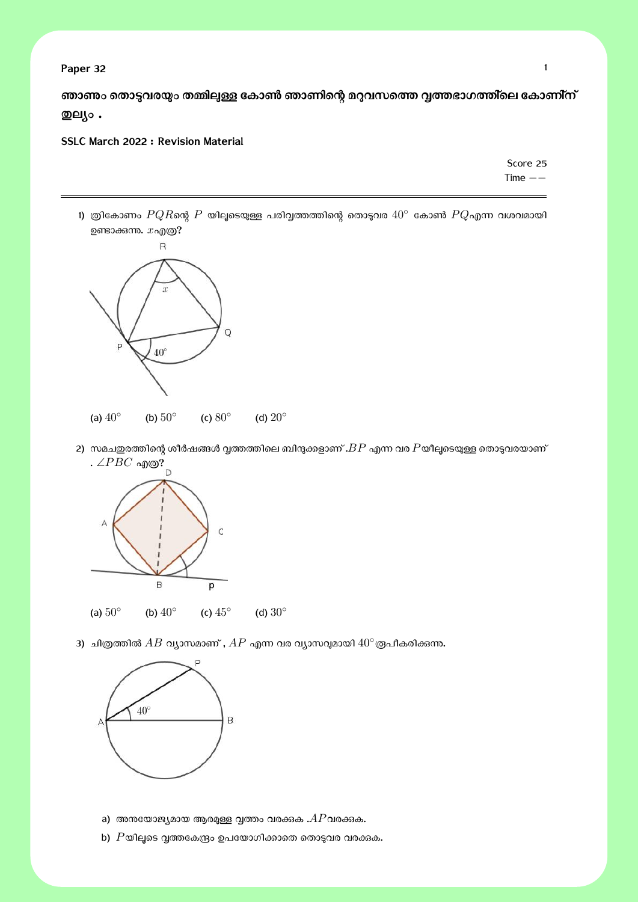**Paper 32** 1

ഞാ**ണം തൊട്ടവരയും തമ്മിലുള്ള കോൺ ഞാണിന്റെ മ**റുവസത്തെ വൃത്തഭാഗത്തി്ലെ കോണി്ന് **Ȑലĥം .**

**SSLC March 2022 : Revision Material**

Score 25 Time *−−*

1) ത്രികോണം  $PQR$ ന്റെ  $P$  യിലൂടെയുള്ള പരിവൃത്തത്തിന്റെ തൊടുവര  $40^\circ$  കോൺ  $PQ$ എന്ന വശവമായി ഉണ്ടാക്കന്നം.  $x_$ എത്ര?



2) സമചഇരത്തിന്റെ ശീർഷങ്ങൾ വൃത്തത്തിലെ ബിന്ദുക്കളാണ് . $BP$  എന്ന വര  $P$ യീലൂടെയുള്ള തൊടുവരയാണ് സമച<sub>≌്</sub>….<br>. ∠*PBC* എത്?



3) ചിത്രത്തിൽ  $AB$  വ്യാസമാണ് ,  $AP$  എന്ന വര വ്യാസവുമായി  $40^\circ$ രൂപീകരിക്കുന്ന.



- a) അനയോജ്യമായ ആരമുള്ള വൃത്തം വരക്കുക . $AP$ വരക്കുക.
- b)  $P$ യിലൂടെ വൃത്തകേന്ദ്രം ഉപയോഗിക്കാതെ തൊടുവര വരക്കുക.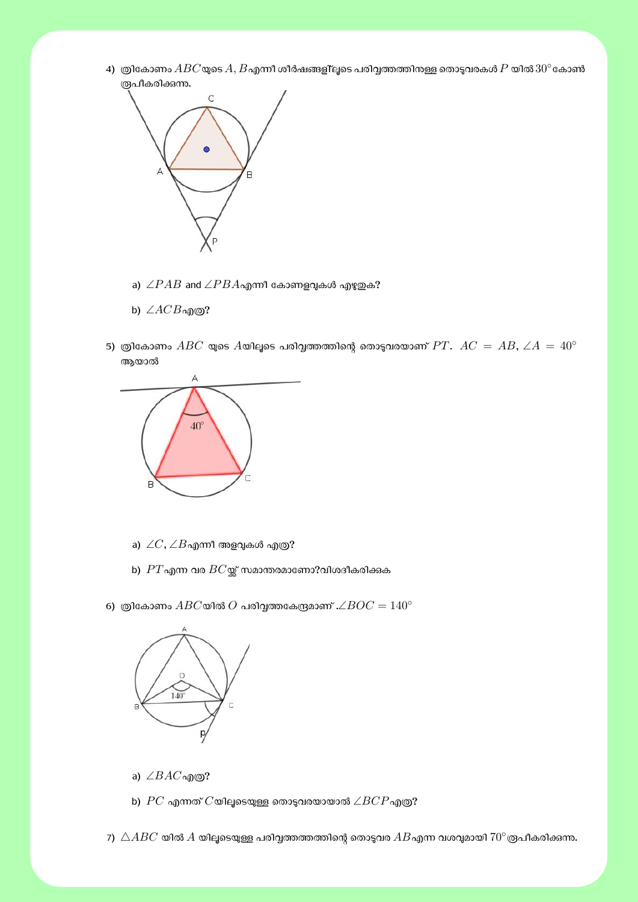4) ത്രികോണം  $ABC$ യുടെ  $A, B$ എന്നീ ശീർഷങ്ങളി്ലൂടെ പരിവൃത്തത്തിനള്ള തൊടുവരകൾ  $P$  യിൽ  $30^{\circ}$ കോൺ ര്രുപീകരിക്കുന്നു.



- a)  $∠PAB$  and  $∠PBA$ എന്നീ കോണളവുകൾ എഴുഇക?
- b) ∠*ACB*എɃ?
- 5) ത്രികോണം  $ABC$  യുടെ  $A$ യിലൂടെ പരിവൃത്തത്തിന്റെ തൊടുവരയാണ്  $PT$ .  $AC = AB$ ,  $\angle A = 40^{\circ}$ ആയാൽ



- a)  $\angle C$ , $\angle B$ എന്നീ അളവുകൾ എത്ര?
- b)  $PT$ എന്ന വര  $BC$ യ്ക്ക് സമാന്തരമാണോ?വിശദീകരിക്കുക
- 6) ത്രികോണം  $ABC$ യിൽ  $O$  പരിവ്വത്തകേന്ദ്രമാണ് .∠ $BOC = 140°$



- a) ∠*BAC*എɃ?
- b)  $PC$  എന്നത്  $C$ യിലൂടെയുള്ള തൊടുവരയായാൽ ∠ $BCP$ എത്ര?
- 7)  $\triangle ABC$  യിൽ  $\hat{A}$  യിലൂടെയുള്ള പരിവൃത്തത്തത്തിന്റെ തൊട്ടവര  $AB$ എന്ന വശവുമായി  $70^{\circ}$ രൂപീകരിക്കുന്നു.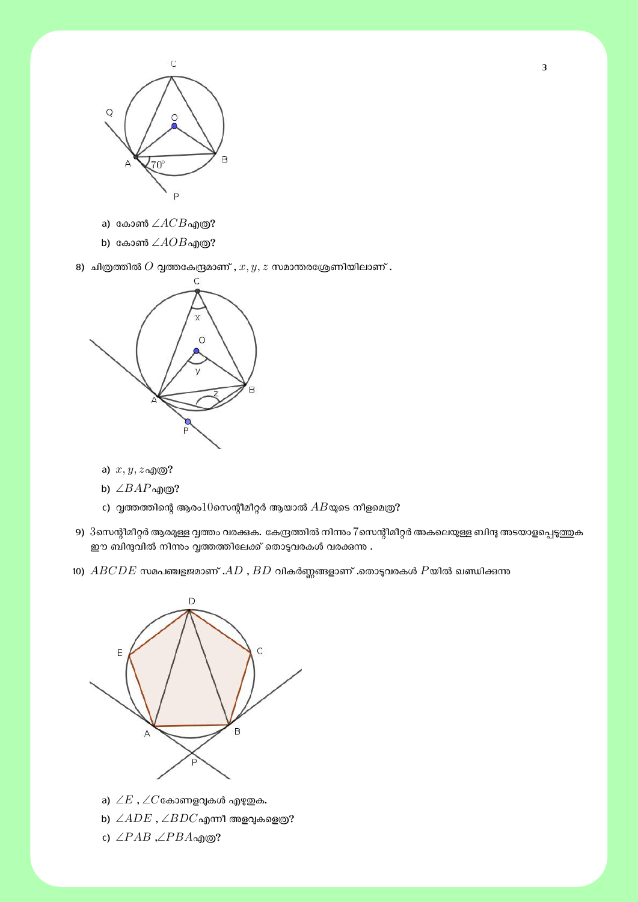

a) കോൺ ∠ $ACB$ എത്ര?

b) കോൺ ∠ $AOB$ എത്ര?

8) ചിത്രത്തിൽ  $O$  വൃത്തകേന്ദ്രമാണ് ,  $x, y, z$  സമാന്തരശ്രേണിയിലാണ് .



a) *x, y, z*എɃ?

- b) ∠*BAP*എɃ?
- c) വൃത്തത്തിന്റെ ആരം $10$ സെന്റീമീറ്റർ ആയാൽ  $AB$ യുടെ നീളമെത്ര?
- 9) 3സെന്റീമീറ്റർ ആരമുള്ള വൃത്തം വരക്കുക. കേന്ദ്രത്തിൽ നിന്നം 7സെന്റീമീറ്റർ അകലെയുള്ള ബിന്ദു അടയാളപ്പെടുത്തുക ഈ ബിന്ദുവിൽ നിന്നം വൃത്തത്തിലേക്ക് തൊടുവരകൾ വരക്കുന്ന .
- $10)$   $ABCDE$  സമപഞ്ചളജമാണ് . $AD$  ,  $BD$  വികർണ്ണങ്ങളാണ് .തൊടുവരകൾ  $P$ യിൽ ഖണ്ഡിക്കന്ന



- a) ∠ $E$  , ∠ $C$ കോണളവുകൾ എഴുതുക.
- b)  $∠ADE$  ,  $∠BDC$ എന്നീ അളവുകളെത്ര?
- c) ∠*P AB* ,∠*P BA*എɃ?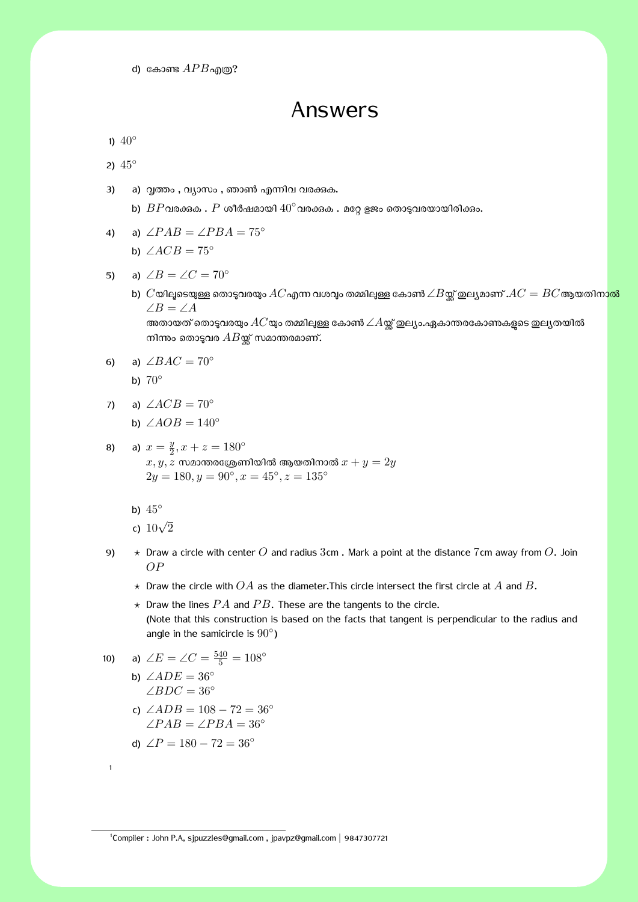d) കോണ്ട  $APB$ എത്ര?

## Answers

1)  $40^\circ$ 

2) 45*◦*

- 3) a) വൃത്തം , വ്യാസം , ഞാൺ എന്നിവ വരക്കുക.
	- b)  $BP$ വരക്കക .  $P$  ശീർഷമായി  $40^\circ$ വരക്കക . മറ്റേ ളജം തൊടുവരയായിരിക്കം.
- 4) a)  $\angle PAB = \angle PBA = 75^\circ$

b)  $\angle ACB = 75^\circ$ 

- 5) a)  $\angle B = \angle C = 70^{\circ}$ 
	- b)  $C$ യിലൂടെയുള്ള തൊടുവരയും  $AC$ എന്ന വശവും തമ്മിലുള്ള കോൺ  $\angle B$ യ്ക്ക് ഇല്യമാണ് . $AC = BC$ ആയതിനാ<mark>ൽ</mark> ∠*B* = ∠*A* അതായത് തൊടുവരയും  $AC$ യും തമ്മിലുള്ള കോൺ  $\angle A$ യ്ക്ക് ഇല്യം.ഏകാന്തരകോണകളുടെ ഇല്യതയിൽ നിന്നും തൊടുവര  $AB$ യ്ക്ക് സമാന്തരമാണ്.
- 6) a)  $\angle BAC = 70^\circ$ b) 70*◦*
	-
- 7) a) ∠*ACB* = 70*◦*
	- **b**) ∠*AOB* =  $140°$
- 8) a)  $x = \frac{y}{2}$  $\frac{y}{2}$ ,  $x + z = 180^\circ$  $x, y, z$  സമാന്തരശ്രേണിയിൽ ആയതിനാൽ  $x + y = 2y$  $2y = 180, y = 90°, x = 45°, z = 135°$ 
	- b) 45*◦*
	- c) <sup>10</sup>*<sup>√</sup>* 2
- 9) *⋆* Draw a circle with center *O* and radius 3cm . Mark a point at the distance 7cm away from *O*. Join *OP*
	- *⋆* Draw the circle with *OA* as the diameter.This circle intersect the first circle at *A* and *B*.
	- $\star$  Draw the lines  $PA$  and  $PB$ . These are the tangents to the circle. (Note that this construction is based on the facts that tangent is perpendicular to the radius and angle in the samicircle is 90*◦* )

10) a) 
$$
\angle E = \angle C = \frac{540}{5} = 108^{\circ}
$$
  
b)  $\angle ADE = 36^{\circ}$   
 $\angle BDC = 36^{\circ}$ 

c)  $∠ADB = 108 - 72 = 36°$ ∠*P AB* = ∠*P BA* = 36*◦*

d) 
$$
\angle P = 180 - 72 = 36^{\circ}
$$

1

1 Compiler : John P.A, sjpuzzles@gmail.com , jpavpz@gmail.com *|* 9847307721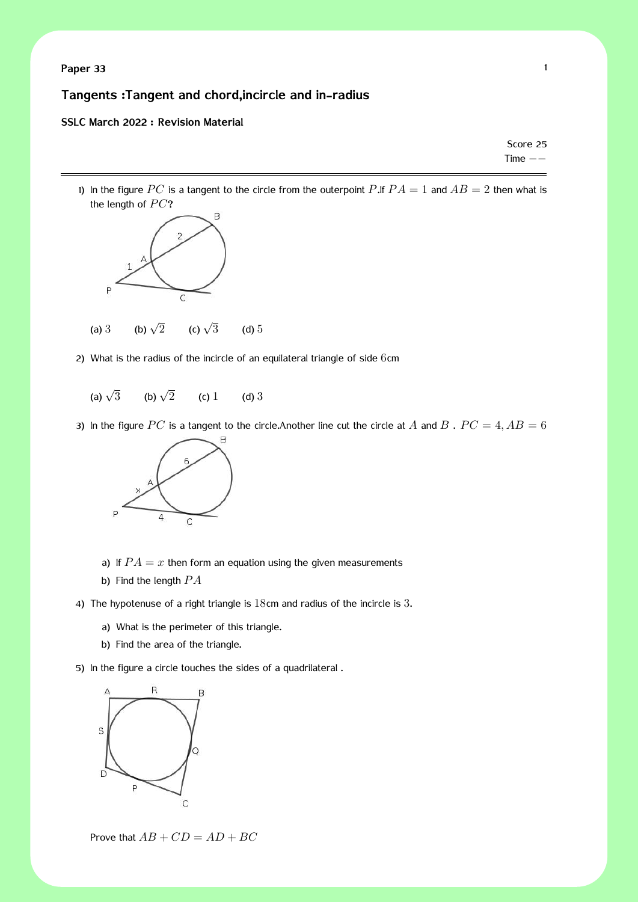**Paper 33** 1

### **Tangents :Tangent and chord,incircle and in-radius**

#### **SSLC March 2022 : Revision Material**

Score 25 Time *−−*

1) In the figure  $PC$  is a tangent to the circle from the outerpoint  $P$ .If  $PA = 1$  and  $AB = 2$  then what is the length of  $PC$ ?



- 2) What is the radius of the incircle of an equilateral triangle of side 6cm
	- (a)  $\sqrt{3}$ (b)  $\sqrt{2}$ (c)  $1$  (d)  $3$
- 3) In the figure  $PC$  is a tangent to the circle.Another line cut the circle at  $A$  and  $B$ .  $PC = 4, AB = 6$



- a) If  $PA = x$  then form an equation using the given measurements
- b) Find the length *P A*
- 4) The hypotenuse of a right triangle is 18cm and radius of the incircle is 3.
	- a) What is the perimeter of this triangle.
	- b) Find the area of the triangle.
- 5) In the figure a circle touches the sides of a quadrilateral .



Prove that  $AB + CD = AD + BC$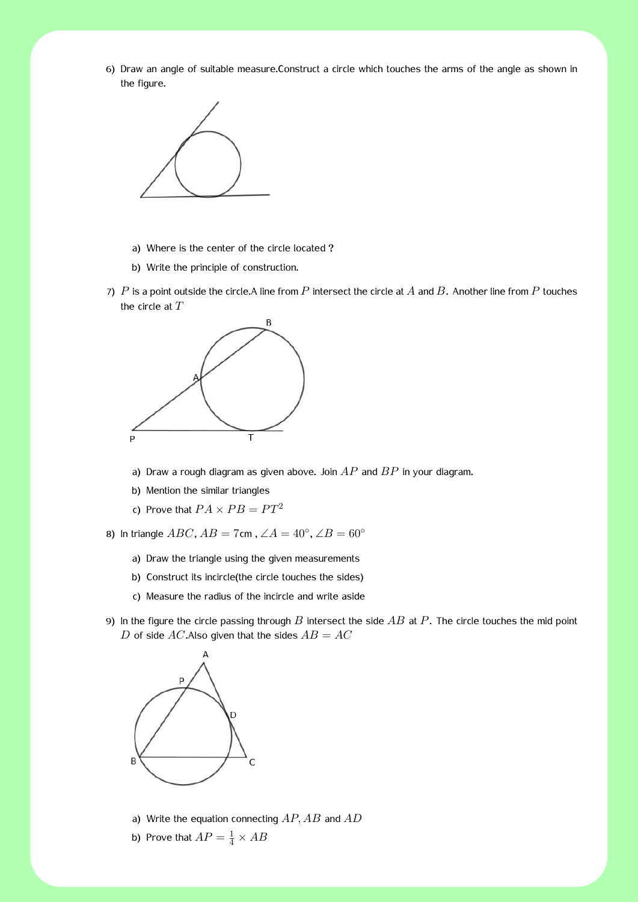2 6) Draw an angle of suitable measure.Construct a circle which touches the arms of the angle as shown in the figure.



- a) Where is the center of the circle located ?
- b) Write the principle of construction.
- 7) *P* is a point outside the circle.A line from *P* intersect the circle at *A* and *B*. Another line from *P* touches the circle at *T*



- a) Draw a rough diagram as given above. Join *AP* and *BP* in your diagram.
- b) Mention the similar triangles
- c) Prove that  $PA \times PB = PT^2$

8) In triangle  $ABC$ ,  $AB = 7$ cm,  $\angle A = 40^\circ$ ,  $\angle B = 60^\circ$ 

- a) Draw the triangle using the given measurements
- b) Construct its incircle(the circle touches the sides)
- c) Measure the radius of the incircle and write aside
- 9) In the figure the circle passing through *B* intersect the side *AB* at *P*. The circle touches the mid point *D* of side  $AC$ . Also given that the sides  $AB = AC$



- a) Write the equation connecting *AP, AB* and *AD*
- b) Prove that  $AP = \frac{1}{4} \times AB$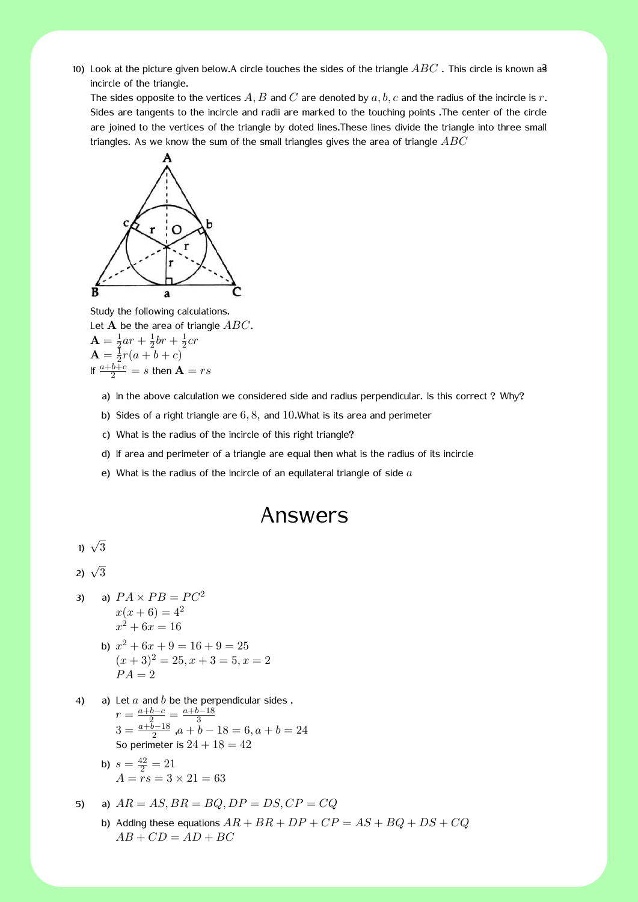10) Look at the picture given below.A circle touches the sides of the triangle  $ABC$  . This circle is known as incircle of the triangle.

The sides opposite to the vertices *A, B* and *C* are denoted by *a, b, c* and the radius of the incircle is *r*. Sides are tangents to the incircle and radii are marked to the touching points .The center of the circle are joined to the vertices of the triangle by doted lines.These lines divide the triangle into three small triangles. As we know the sum of the small triangles gives the area of triangle *ABC*



Study the following calculations. Let **A** be the area of triangle *ABC*.  ${\bf A}=\frac{1}{2}$  $rac{1}{2}ar + \frac{1}{2}$  $rac{1}{2}$ *br* +  $rac{1}{2}$  $rac{1}{2}cr$  ${\bf A}=\frac{{\bf I}}{2}$  $\frac{1}{2}r(a+b+c)$ If  $\frac{a+b+c}{2} = s$  then  $\mathbf{A} = rs$ 

- a) In the above calculation we considered side and radius perpendicular. Is this correct ? Why?
- b) Sides of a right triangle are 6*,* 8*,* and 10.What is its area and perimeter
- c) What is the radius of the incircle of this right triangle?
- d) If area and perimeter of a triangle are equal then what is the radius of its incircle
- e) What is the radius of the incircle of an equilateral triangle of side *a*

# Answers

$$
1) \sqrt{3}
$$

$$
2) \sqrt{3}
$$

3) a) 
$$
PA \times PB = PC^2
$$
  
\n $x(x+6) = 4^2$   
\n $x^2 + 6x = 16$ 

- b)  $x^2 + 6x + 9 = 16 + 9 = 25$  $(x+3)^2 = 25, x+3 = 5, x = 2$  $PA = 2$
- 4) a) Let *a* and *b* be the perpendicular sides . *r* =  $\frac{a+b-c}{2}$  =  $\frac{a+b-18}{3}$ <br>3 =  $\frac{a+b-18}{2}$ , *a* + *b* − 18 = 6, *a* + *b* = 24 So perimeter is  $24 + 18 = 42$

b) 
$$
s = \frac{42}{2} = 21
$$
  
 $A = rs = 3 \times 21 = 63$ 

5) a) 
$$
AR = AS, BR = BQ, DP = DS, CP = CQ
$$
  
b) Adding these equations  $AR + BR + DP + CP = AS + BQ + DS + CQ$ 

 $AB + CD = AD + BC$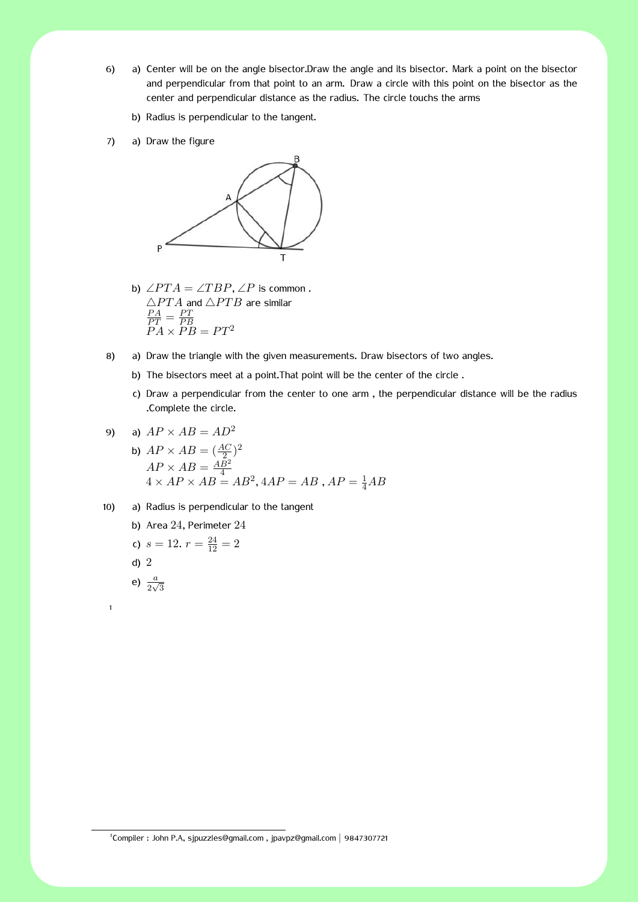- 4 6) a) Center will be on the angle bisector.Draw the angle and its bisector. Mark a point on the bisector and perpendicular from that point to an arm. Draw a circle with this point on the bisector as the center and perpendicular distance as the radius. The circle touchs the arms
	- b) Radius is perpendicular to the tangent.
- 7) a) Draw the figure



- b)  $\angle PTA = \angle TBP, \angle P$  is common. *△P T A* and *△P T B* are similar  $\frac{PA}{PT} = \frac{PT}{PE}$  $\overline{PR}$   $\overline{PR}$   $\overline{PB}$  =  $\overline{PT}$ <sup>2</sup>
- 8) a) Draw the triangle with the given measurements. Draw bisectors of two angles.
	- b) The bisectors meet at a point.That point will be the center of the circle .
	- c) Draw a perpendicular from the center to one arm , the perpendicular distance will be the radius .Complete the circle.

9) a) 
$$
AP \times AB = AD^2
$$

- b)  $AP \times AB = (\frac{AC}{2})^2$  $AP \times AB = \frac{AB^2}{4}$  $A$  *x*  $AP \times AB = AB^2$ ,  $4AP = AB$ ,  $AP = \frac{1}{4}AB$
- 10) a) Radius is perpendicular to the tangent

b) Area 
$$
24
$$
, Perimeter  $24$ 

c) 
$$
s = 12
$$
.  $r = \frac{24}{12} = 2$ 

d) 2

1

e)  $\frac{a}{2\sqrt{3}}$ 

1 Compiler : John P.A, sjpuzzles@gmail.com , jpavpz@gmail.com *|* 9847307721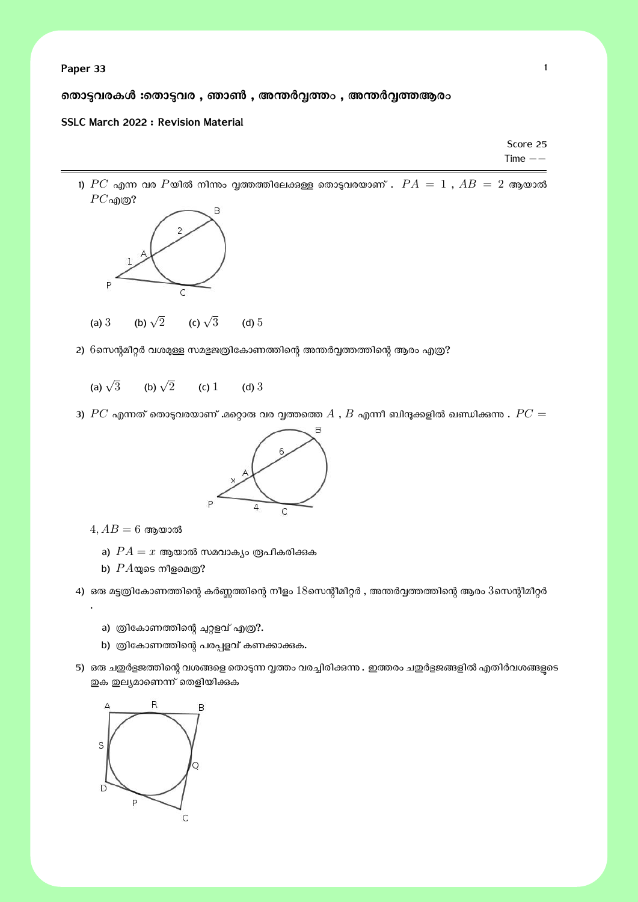**Paper 33** 1

നൊട്ടവരകൾ :തൊട്ടവര , ഞാൺ , അന്തർവ്വത്തം , അന്തർവ്വത്തആരം

#### **SSLC March 2022 : Revision Material**

Score 25 Time *−−*

1)  $PC$  എന്ന വര  $P$ യിൽ നിന്നം വത്തത്തിലേക്കുള്ള തൊടുവരയാണ് .  $PA = 1$  ,  $AB = 2$  ആയാൽ  $PC$ എ $\odot$ ?



2)  $6$ സെന്റമീറ്റർ വശമുള്ള സമളജത്രികോണത്തിന്റെ അന്തർവ്വത്തത്തിന്റെ ആരം എത്ര?

(a)  $\sqrt{3}$ (b)  $\sqrt{2}$ (c)  $1$  (d)  $3$ 

3)  $PC$  എന്നത് തൊടുവരയാണ് .മറ്റൊരു വര വ്വത്തത്തെ  $A$  ,  $B$  എന്നീ ബിന്ദുക്കളിൽ ഖണ്ഡിക്കുന്നു .  $PC =$ 



 $4, AB = 6$  ആയാൽ

.

- a)  $PA = x$  ആയാൽ സമവാകൃം രൂപീകരിക്കുക
- b)  $PA$ യുടെ നീളമെത്ര?

4) ഒരു മട്ടത്രികോണത്തിന്റെ കർണ്ണത്തിന്റെ നീളം  $18$ സെന്റീമീറ്റർ , അന്തർവ്വത്തത്തിന്റെ ആരം  $3$ സെന്റീമീറ്റർ

- a) ത്രികോണത്തിന്റെ ചുറ്റളവ് എത്ര?.
- b) ത്രികോണത്തിന്റെ പരപ്പളവ് കണക്കാക്കുക.
- 5) ഒരു ചഇർഭുജത്തിന്റെ വശങ്ങളെ തൊടുന്ന വൃത്തം വരച്ചിരിക്കുന്നു . ഇത്തരം ചഇർഭുജങ്ങളിൽ എതിർവശങ്ങളടെ ഇക ഇല്യമാണെന്ന് തെളിയിക്കുക

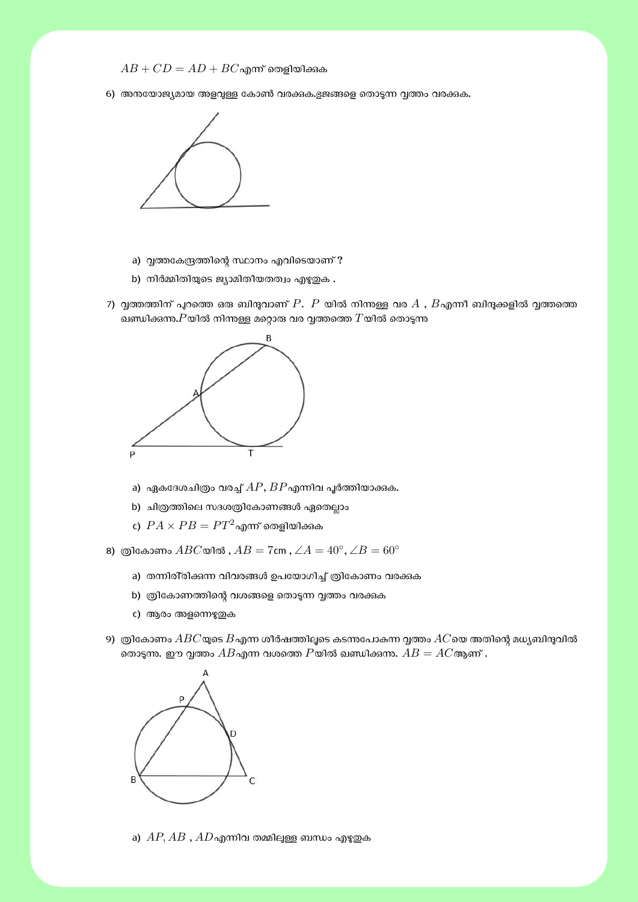- $AB + CD = AD + BC$ എന്ന് തെളിയിക്കുക
- 6) അനയോജ്യമായ അളവുള്ള കോൺ വരക്കുക.ഭുജങ്ങളെ തൊടുന്ന വ്വത്തം വരക്കുക.



- a) വൃത്തകേന്ദ്രത്തിന്റെ സ്ഥാനം എവിടെയാണ് ?
- b) നിർമ്മിതിയുടെ ജ്യാമിതീയതത്വം എഴുതുക .
- 7) വൃത്തത്തിന് പുറത്തെ ഒരു ബിന്ദുവാണ്  $P.$   $P$  യിൽ നിന്നുള്ള വര  $A$  ,  $B$ എന്നീ ബിന്ദുക്കളിൽ വൃത്തത്തെ ഖണ്ഡിക്കന്ത $\boldsymbol{P}$ യിൽ നിന്നള്ള മറ്റൊരു വര വൃത്തത്തെ  $T$ യിൽ തൊടുന്നു



- a) ഏകദേശചിത്രം വരച്ച്  $AP$ ,  $BP$ എന്നിവ പൂർത്തിയാക്കുക.
- b) ചിത്രത്തിലെ സദശത്രികോണങ്ങൾ ഏതെല്ലാം
- $\mathbf{r}$ )  $PA \times PB = PT^2$ എന്ന് തെളിയിക്കുക

8) Ƀിേകാണം *ABC*യിൽ , *AB* = 7cm , ∠*A* = 40*◦* , ∠*B* = 60*◦*

- a) തന്നിരി്രിക്കുന്ന വിവരങ്ങൾ ഉപയോഗിച്ച് ത്രികോണം വരക്കുക
- b) ത്രികോണത്തിന്റെ വശങ്ങളെ തൊടുന്ന വൃത്തം വരക്കുക
- c) ആരം അളന്നെഴുതുക
- 9)  $\omega$ ികോണം  $ABC$ യുടെ  $B$ എന്ന ശീർഷത്തിലൂടെ കടന്നപോകന്ന വൃത്തം  $AC$ യെ അതിന്റെ മധ്യബിന്ദുവിൽ തൊടുന്നു. ഈ വൃത്തം  $AB$ എന്ന വശത്തെ  $P$ യിൽ ഖണ്ഡിക്കുന്നു.  $AB = AC$ ആണ് .



a)  $AP, AB, AD$ എന്നിവ തമ്മിലുള്ള ബന്ധം എഴുതുക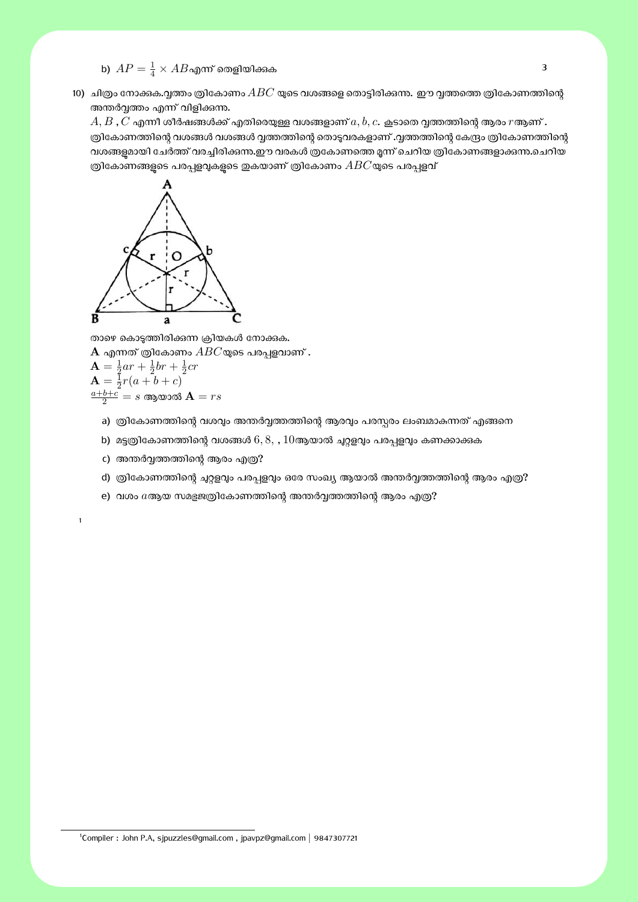- b)  $AP = \frac{1}{4} \times AB$ എന്ന് തെളിയിക്കുക
- 10) ചിത്രം നോക്കുക.വൃത്തം ത്രികോണം  $ABC$  യുടെ വശങ്ങളെ തൊട്ടിരിക്കന്നു. ഈ വ്വത്തത്തെ ത്രികോണത്തിന്റെ അന്തർവത്തം എന്ന് വിളിക്കുന്നു.

 $A, B$  ,  $C$  എന്നീ ശീർഷങ്ങൾക്ക് എതിരെയുള്ള വശങ്ങളാണ്  $a, b, c$ . കൂടാതെ വൃത്തത്തിന്റെ ആരം  $r$ ആണ് . ര്രികോണത്തിന്റെ വശങ്ങൾ വശങ്ങൾ വൃത്തത്തിന്റെ തൊട്ടവരകളാണ് .വൃത്തത്തിന്റെ കേന്ദ്രം ത്രികോണത്തിന്റെ വശങ്ങളുമായി ചേർത്ത് വരച്ചിരിക്കന്ന.ഈ വരകൾ ത്രകോണത്തെ മൂന്ന് ചെറിയ ത്രികോണങ്ങളാക്കുന്ന.ചെറിയ ത്രികോണങ്ങളുടെ പരപ്പളവുകളുടെ ഇകയാണ് ത്രികോണം  $ABC$ യുടെ പരപ്പളവ്



താഴെ കൊടുത്തിരിക്കുന്ന ക്രിയകൾ നോക്കുക.  ${\bf A}$  എന്നത് ത്രികോണം  $ABC$ യുടെ പരപ്പളവാണ് .

$$
\mathbf{A} = \frac{1}{2}ar + \frac{1}{2}br + \frac{1}{2}cr
$$
\n
$$
\mathbf{A} = \frac{1}{2}r(a+b+c)
$$
\n
$$
\frac{a+b+c}{2} = s \text{ as } \mathbf{A} = rs
$$

1

- a) ത്രികോണത്തിന്റെ വശവും അന്തർവ്വത്തത്തിന്റെ ആരവും പരസ്പരം ലംബമാകുന്നത് എങ്ങനെ
- b) മട്ടത്രികോണത്തിന്റെ വശങ്ങൾ  $6, 8, 10$ ആയാൽ ചുറ്റളവും പരപ്പളവും കണക്കാക്കുക
- c) അന്തർവ്വത്തത്തിന്റെ ആരം എത്ര?
- d) ത്രികോണത്തിന്റെ ചുറ്റളവും പരപ്പളവും ഒരേ സംഖ്യ ആയാൽ അന്തർവ്വത്തത്തിന്റെ ആരം എത്ര?
- e) വശം  $a$ ആയ സമളജത്രികോണത്തിന്റെ അന്തർവ്വത്തത്തിന്റെ ആരം എത്ര?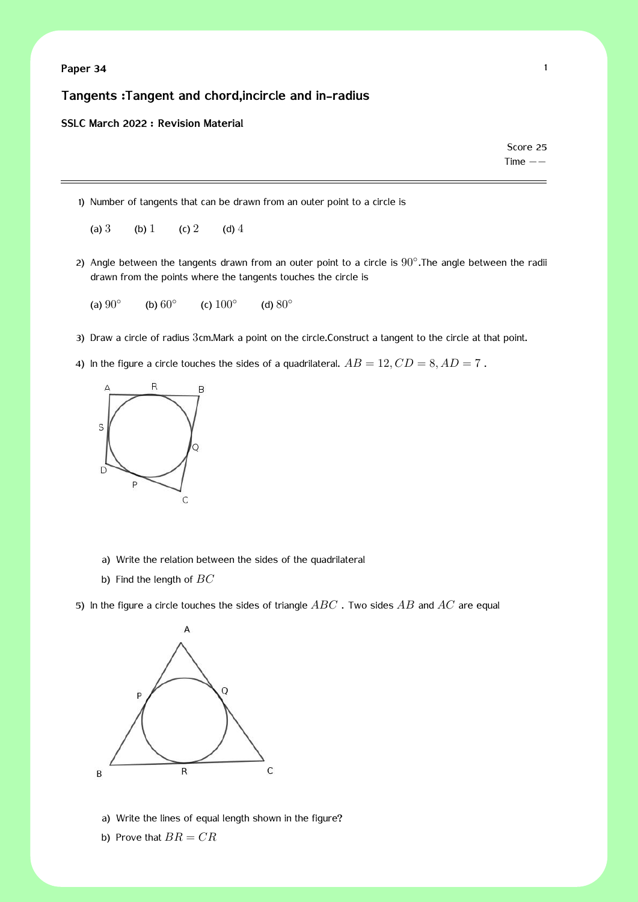### **Paper 34** 1

### **Tangents :Tangent and chord,incircle and in-radius**

#### **SSLC March 2022 : Revision Material**

Score 25 Time *−−*

1) Number of tangents that can be drawn from an outer point to a circle is

- (a) 3 (b) 1 (c) 2 (d) 4
- 2) Angle between the tangents drawn from an outer point to a circle is 90*◦* .The angle between the radii drawn from the points where the tangents touches the circle is
	- (a) 90*◦* (b) 60*◦* (c) 100*◦* (d) 80*◦*
- 3) Draw a circle of radius 3cm.Mark a point on the circle.Construct a tangent to the circle at that point.
- 4) In the figure a circle touches the sides of a quadrilateral.  $AB = 12, CD = 8, AD = 7$ .



- a) Write the relation between the sides of the quadrilateral
- b) Find the length of *BC*

5) In the figure a circle touches the sides of triangle *ABC* . Two sides *AB* and *AC* are equal



a) Write the lines of equal length shown in the figure?

b) Prove that  $BR = CR$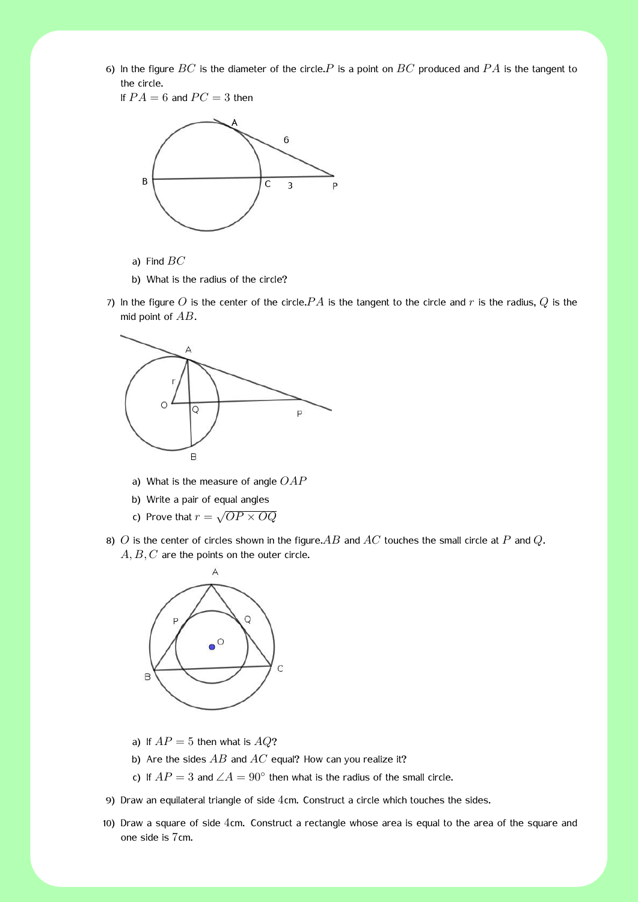2 6) In the figure *BC* is the diameter of the circle.*P* is a point on *BC* produced and *P A* is the tangent to the circle.

If  $PA = 6$  and  $PC = 3$  then



- a) Find *BC*
- b) What is the radius of the circle?
- 7) In the figure O is the center of the circle.  $PA$  is the tangent to the circle and r is the radius,  $Q$  is the mid point of *AB*.



- a) What is the measure of angle *OAP*
- b) Write a pair of equal angles
- c) Prove that  $r = \sqrt{OP \times OQ}$
- 8) *O* is the center of circles shown in the figure.*AB* and *AC* touches the small circle at *P* and *Q*. A, B, C are the points on the outer circle.



- a) If  $AP = 5$  then what is  $AQ$ ?
- b) Are the sides *AB* and *AC* equal? How can you realize it?
- c) If  $AP = 3$  and  $\angle A = 90^\circ$  then what is the radius of the small circle.
- 9) Draw an equilateral triangle of side 4cm. Construct a circle which touches the sides.
- 10) Draw a square of side 4cm. Construct a rectangle whose area is equal to the area of the square and one side is 7cm.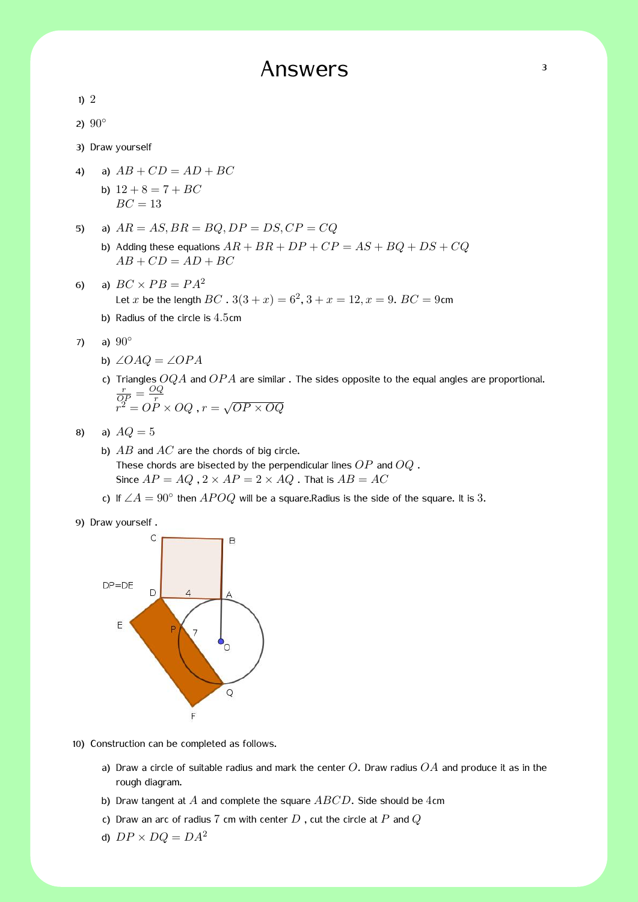# Answers 3

1) 2

2) 90*◦*

3) Draw yourself

- 4) a)  $AB + CD = AD + BC$ b)  $12 + 8 = 7 + BC$ 
	- $BC = 13$
- 5) a)  $AR = AS, BR = BQ, DP = DS, CP = CQ$ 
	- b) Adding these equations  $AR + BR + DP + CP = AS + BQ + DS + CQ$  $AB + CD = AD + BC$
- 6) a)  $BC \times PB = PA^2$ Let *x* be the length  $BC$  .  $3(3 + x) = 6^2$ ,  $3 + x = 12$ ,  $x = 9$ .  $BC = 9$ cm
	- b) Radius of the circle is 4*.*5cm
- 7) a) 90*◦*
	- b) ∠*OAQ* = ∠*OP A*
	- c) Triangles *OQA* and *OP A* are similar . The sides opposite to the equal angles are proportional.  $\frac{r}{QP} = \frac{OQ}{r}$  $\overline{OP}$  –  $\overline{r}$ <br>  $r^2 = OP \times OQ$ ,  $r = \sqrt{OP \times OQ}$
- 8) a)  $AQ = 5$ 
	- b) *AB* and *AC* are the chords of big circle. These chords are bisected by the perpendicular lines *OP* and *OQ* . Since  $AP = AQ$ ,  $2 \times AP = 2 \times AQ$ . That is  $AB = AC$ 
		- c) If  $\angle A = 90^\circ$  then  $APOQ$  will be a square.Radius is the side of the square. It is 3.





- 10) Construction can be completed as follows.
	- a) Draw a circle of suitable radius and mark the center *O*. Draw radius *OA* and produce it as in the rough diagram.
	- b) Draw tangent at *A* and complete the square *ABCD*. Side should be 4cm
	- c) Draw an arc of radius 7 cm with center *D* , cut the circle at *P* and *Q*
	- d)  $DP \times DQ = DA^2$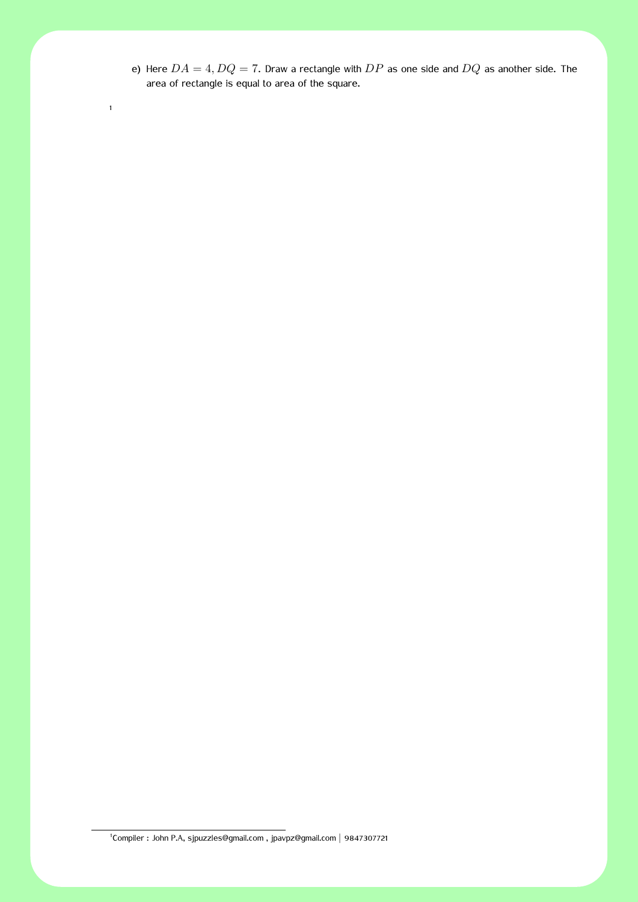e) Here  $DA = 4, DQ = 7$ . Draw a rectangle with  $DP$  as one side and  $DQ$  as another side. The area of rectangle is equal to area of the square.

1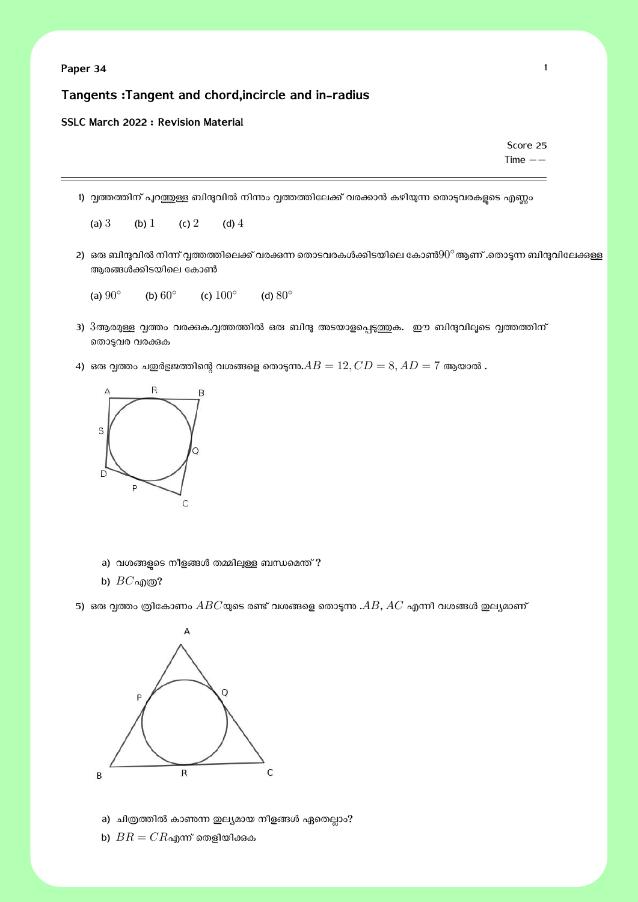### **Tangents :Tangent and chord,incircle and in-radius**

#### **SSLC March 2022 : Revision Material**

Score 25 Time *−−*

1) വ്വത്തത്തിന് പുറത്തുള്ള ബിന്ദുവിൽ നിന്നും വൃത്തത്തിലേക്ക് വരക്കാൻ കഴിയുന്ന തൊടുവരകളുടെ എണ്ണം

(a) 3 (b) 1 (c) 2 (d) 4

2) ഒരു ബിന്ദുവിൽ നിന്ന് വൃത്തത്തിലെക്ക് വരക്കുന്ന തൊടവരകൾക്കിടയിലെ കോൺ $90^\circ$ ആണ് .തൊടുന്ന ബിന്ദുവിലേക്കുള്ള ആരങ്ങൾക്കിടയിലെ കോൺ

(a) 90*◦* (b) 60*◦* (c) 100*◦* (d) 80*◦*

- 3)  $3$ ആരമുള്ള വൃത്തം വരക്കുക.വൃത്തത്തിൽ ഒരു ബിന്ദു അടയാളപ്പെടുത്തുക. ഈ ബിന്ദുവിലൂടെ വൃത്തത്തിന് തൊടുവര വരക്കുക
- 4) ഒരു വൃത്തം ചഇർളജത്തിന്റെ വശങ്ങളെ തൊടുന്നു. $AB = 12, CD = 8, AD = 7$  ആയാൽ .



- a) വശങ്ങളുടെ നീളങ്ങൾ തമ്മിലുള്ള ബന്ധമെന്ത് ?
- b) *BC*എɃ?

5) ഒരു വൃത്തം ത്രികോണം  $ABC$ യുടെ രണ്ട് വശങ്ങളെ തൊടുന്നു . $AB, AC$  എന്നീ വശങ്ങൾ ഇല്യമാണ്



- a) ചിത്രത്തിൽ കാണന്ന ഇല്യമായ നീളങ്ങൾ ഏതെല്ലാം?
- b)  $BR = CR$ എന്ന് തെളിയിക്കുക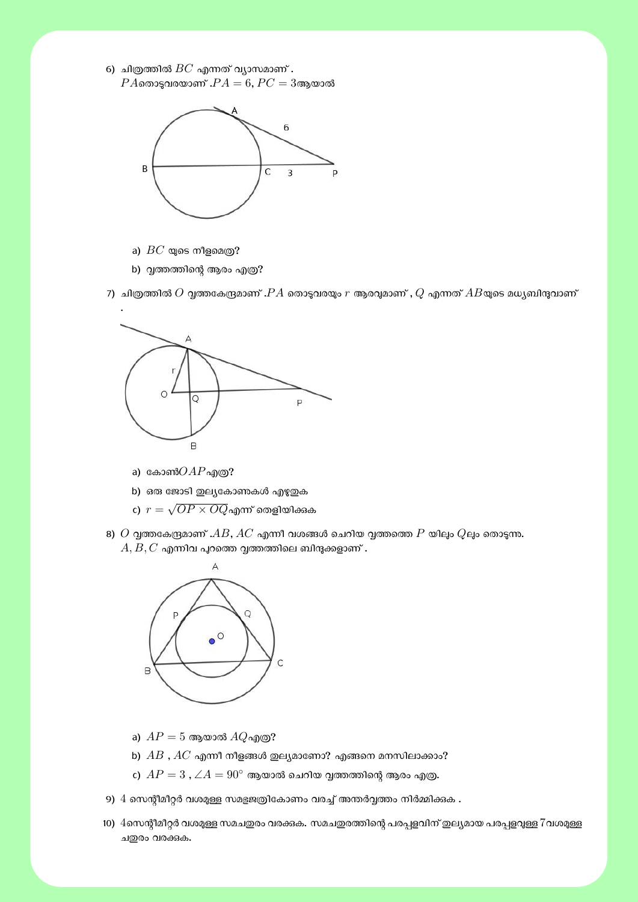$6)$  ചിത്രത്തിൽ  $BC$  എന്നത് വ്യാസമാണ് .  $PA$ തൊട്ടവരയാണ് . $PA = 6$ ,  $PC = 3$ ആയാൽ



- a)  $BC$  യുടെ നീളമെത്ര?
- b) വൃത്തത്തിന്റെ ആരം എത്ര $?$

7) ചിത്രത്തിൽ  $O$  വൃത്തകേന്ദ്രമാണ് . $PA$  തൊടുവരയും  $r$  ആരവുമാണ് ,  $Q$  എന്നത്  $AB$ യുടെ മധ്യബിന്ദുവാണ്



- a) കോൺ $OAP$ എത്ര?
- b) ഒരു ജോടി ഇല്യകോണകൾ എഴുതുക
- $\mathfrak{c}$ )  $\; r = \sqrt{OP \times OQ}$ എന്ന് തെളിയിക്കുക
- 8)  $O$  വൃത്തകേന്ദ്രമാണ് . $AB$ ,  $AC$  എന്നീ വശങ്ങൾ ചെറിയ വൃത്തത്തെ  $P$  യിലും  $Q$ ലും തൊടുന്നു.  $A, B, C$  എന്നിവ പുറത്തെ വൃത്തത്തിലെ ബിന്ദുക്കളാണ് .



- a)  $AP = 5$  ആയാൽ  $AQ$ എത്ര?
- b)  $AB$  ,  $AC$  എന്നീ നീളങ്ങൾ ഇല്യമാണോ? എങ്ങനെ മനസിലാക്കാം?
- c)  $AP = 3$  ,  $\angle A = 90^\circ$  ആയാൽ ചെറിയ വൃത്തത്തിന്റെ ആരം എത്ര.
- 9)  $4$  സെന്റീമീറ്റർ വശമുള്ള സമഭുജത്രികോണം വരച്ച് അന്തർവ്വത്തം നിർമ്മിക്കുക .
- 10) 4സെന്റീമീറ്റർ വശമുള്ള സമചഇരം വരക്കുക. സമചഇരത്തിന്റെ പരപ്പളവിന് ഇല്യമായ പരപ്പളവുള്ള 7വശമുള്ള ചതുരം വരക്കുക.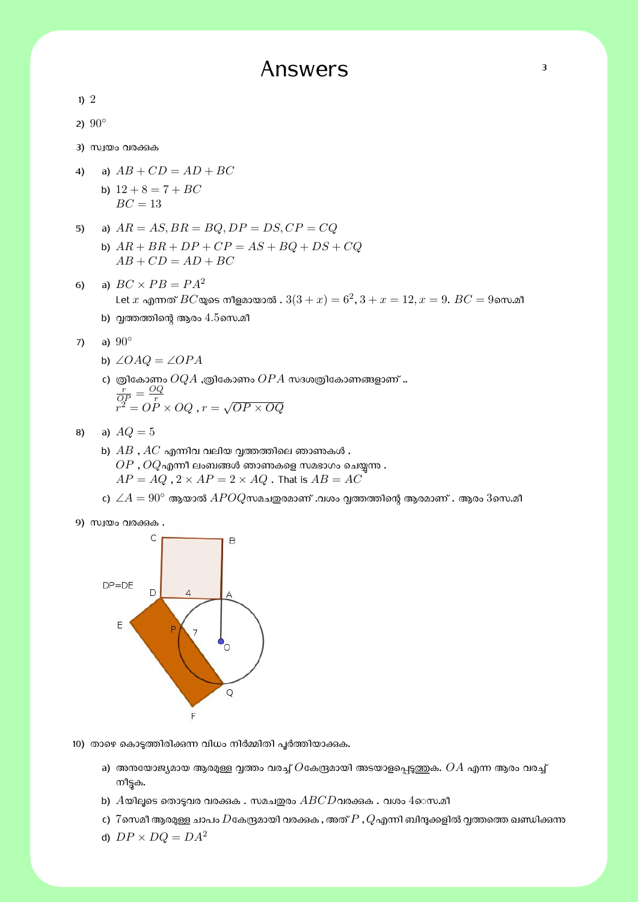# Answers 3

| ı |  |
|---|--|

2) 90*◦*

3) സ്വയം വരക്കുക

- 4) a)  $AB + CD = AD + BC$ b)  $12 + 8 = 7 + BC$  $BC = 13$
- 5) a)  $AR = AS, BR = BQ, DP = DS, CP = CQ$ 
	- b) *AR* + *BR* + *DP* + *CP* = *AS* + *BQ* + *DS* + *CQ*  $AB + CD = AD + BC$
- 6) a)  $BC \times PB = PA^2$  ${\sf Let}\ x$  എന്നത്  $BC$ യുടെ നീളമായാൽ .  $3(3+x) = 6^2, 3+x = 12, x = 9.$   $BC = 9$ സെ.മീ
	- b) വൃത്തത്തിന്റെ ആരം  $4.5$ സെ.മീ
- 7) a) 90*◦*
	- b) ∠*OAQ* = ∠*OP A*
	- c) ത്രികോണം  $OQA$  ,ത്രികോണം  $OPA$  സദശത്രികോണങ്ങളാണ് ..  $\frac{r}{QP} = \frac{OQ}{r}$  $\overline{OP}$  –  $\overline{r}$ <br>  $r^2 = OP \times OQ$ ,  $r = \sqrt{OP \times OQ}$
- 8) a)  $AQ = 5$ 
	- b)  $AB$  ,  $AC$  എന്നിവ വലിയ വ്വത്തത്തിലെ ഞാണകൾ .  $OP$  ,  $OQ$ എന്നീ ലംബങ്ങൾ ഞാണകളെ സമഭാഗം ചെയ്യന്നു .  $AP = AQ$ ,  $2 \times AP = 2 \times AQ$ . That is  $AB = AC$
	- $\epsilon$ ) ∠ $A = 90^\circ$  ആയാൽ  $APOQ$ സമചഇരമാണ് .വശം വൃത്തത്തിന്റെ ആരമാണ് . ആരം  $3$ സെ.മീ
- 9) സ്വയം വരക്കുക



- 10) താഴെ കൊടുത്തിരിക്കുന്ന വിധം നിർമ്മിതി പൂർത്തിയാക്കുക.
	- a) അനയോജ്യമായ ആരമുള്ള വ്വത്തം വരച്ച്  $O$ കേന്ദ്രമായി അടയാളപ്പെടുത്തുക.  $OA$  എന്ന ആരം വരച്ച് നീട്ടക.
	- b)  $A$ യിലൂടെ തൊടുവര വരക്കുക . സമചഇരം  $ABCD$ വരക്കുക . വശം  $4$ െസ.മീ
	- c)  $\,7$ സെമീ ആരമുള്ള ചാപം  $D$ കേന്ദ്രമായി വരക്കുക , അത്  $P$  ,  $Q$ എന്നി ബിന്ദുക്കളിൽ വ്വത്തത്തെ ഖണ്ഡിക്കുന്ന
	- d)  $DP \times DQ = DA^2$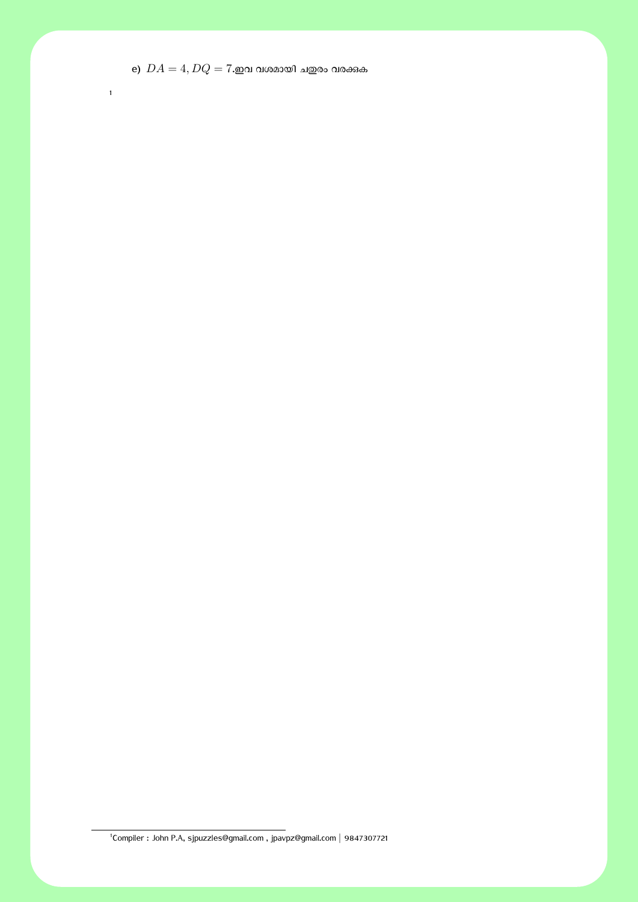e)  $DA = 4, DQ = 7$ .ഇവ വശമായി ചഇരം വരക്കുക

Compiler : John P.A, sjpuzzles@gmail.com , jpavpz@gmail.com *|* 9847307721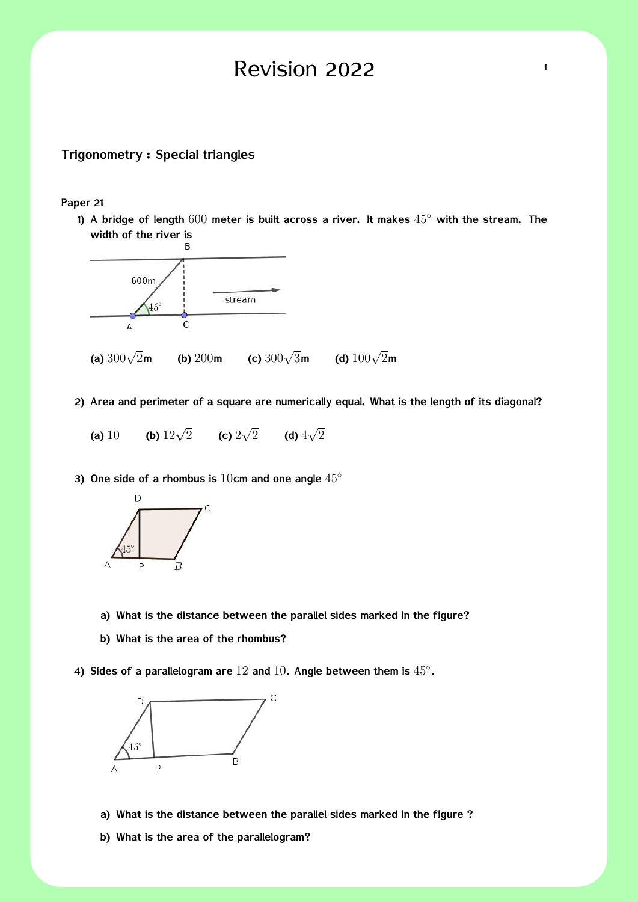# Revision 2022  $\frac{1}{1}$

### **Trigonometry : Special triangles**

**Paper 21**

**1) A bridge of length** 600 **meter is built across a river. It makes** 45*◦* **with the stream. The width of the river is**



- **2) Area and perimeter of a square are numerically equal. What is the length of its diagonal?**
	- **(a)** 10 **(b)**  $12\sqrt{2}$  **(c)**  $2\sqrt{2}$  **(d)**  $4\sqrt{2}$
- **3) One side of a rhombus is** 10**cm and one angle** 45*◦*



- **a) What is the distance between the parallel sides marked in the figure?**
- **b) What is the area of the rhombus?**
- **4) Sides of a parallelogram are** 12 **and** 10**. Angle between them is** 45*◦* **.**



- **a) What is the distance between the parallel sides marked in the figure ?**
- **b) What is the area of the parallelogram?**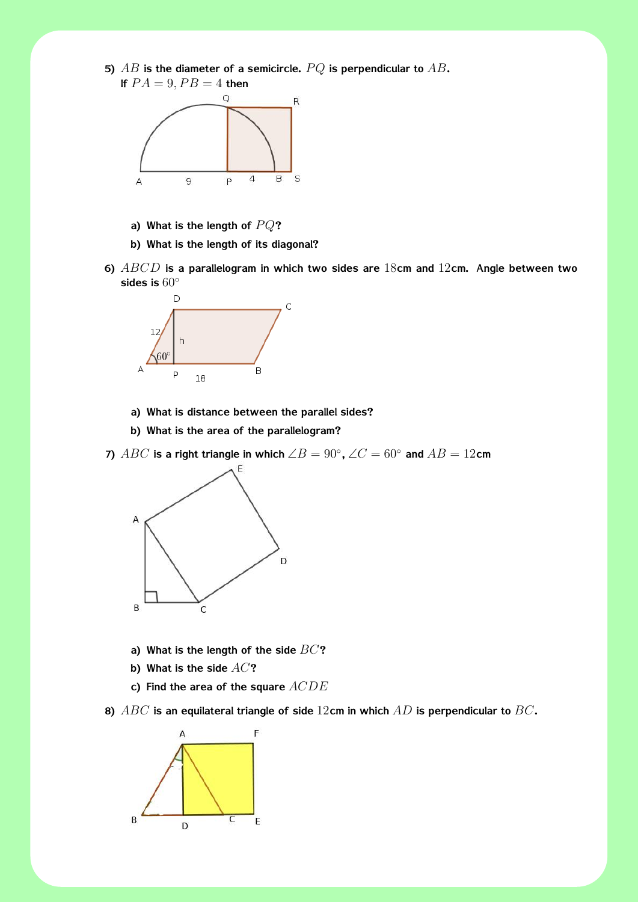



- **a) What is the length of** *P Q***?**
- **b) What is the length of its diagonal?**
- **6)** *ABCD* **is a parallelogram in which two sides are** 18**cm and** 12**cm. Angle between two sides is** 60*◦*



- **a) What is distance between the parallel sides?**
- **b) What is the area of the parallelogram?**

**7)**  $ABC$  is a right triangle in which  $\angle B = 90^\circ$ ,  $\angle C = 60^\circ$  and  $AB = 12$ cm



- **a) What is the length of the side** *BC***?**
- **b) What is the side** *AC***?**
- **c) Find the area of the square** *ACDE*

**8)** *ABC* **is an equilateral triangle of side** 12**cm in which** *AD* **is perpendicular to** *BC***.**

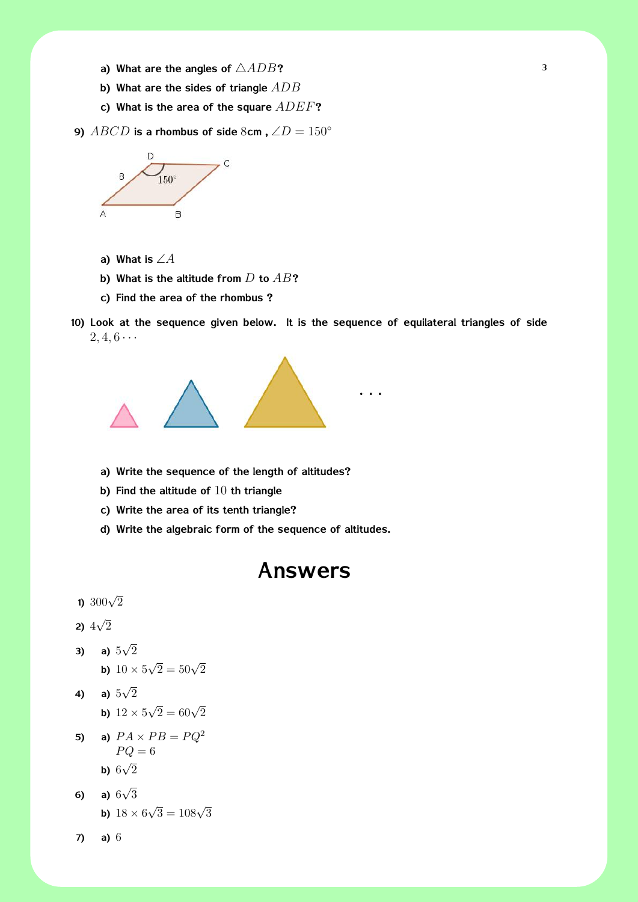- **a) What are the angles of** *△ADB***?** <sup>3</sup>
- **b) What are the sides of triangle** *ADB*
- **c) What is the area of the square** *ADEF***?**
- **9)**  $ABCD$  is a rhombus of side  $8cm$ ,  $\angle D = 150^\circ$



- **a) What is** ∠*A*
- **b) What is the altitude from** *D* **to** *AB***?**
- **c) Find the area of the rhombus ?**
- **10) Look at the sequence given below. It is the sequence of equilateral triangles of side**  $2, 4, 6 \cdots$



- **a) Write the sequence of the length of altitudes?**
- **b) Find the altitude of** 10 **th triangle**
- **c) Write the area of its tenth triangle?**
- **d) Write the algebraic form of the sequence of altitudes.**

## **Answers**

### **1)** <sup>300</sup>*<sup>√</sup>* 2

**2)**  $4\sqrt{2}$ 

- **3) a)**  $5\sqrt{2}$ **b)**  $10 \times 5\sqrt{2} = 50\sqrt{2}$
- **4) a)**  $5\sqrt{2}$ **b)**  $12 \times 5\sqrt{2} = 60\sqrt{2}$
- **5) a)**  $PA \times PB = PQ^2$  $PQ = 6$ **b)**  $6\sqrt{2}$
- **6) a)**  $6\sqrt{3}$ **b)**  $18 \times 6\sqrt{3} = 108\sqrt{3}$
- **7) a)** 6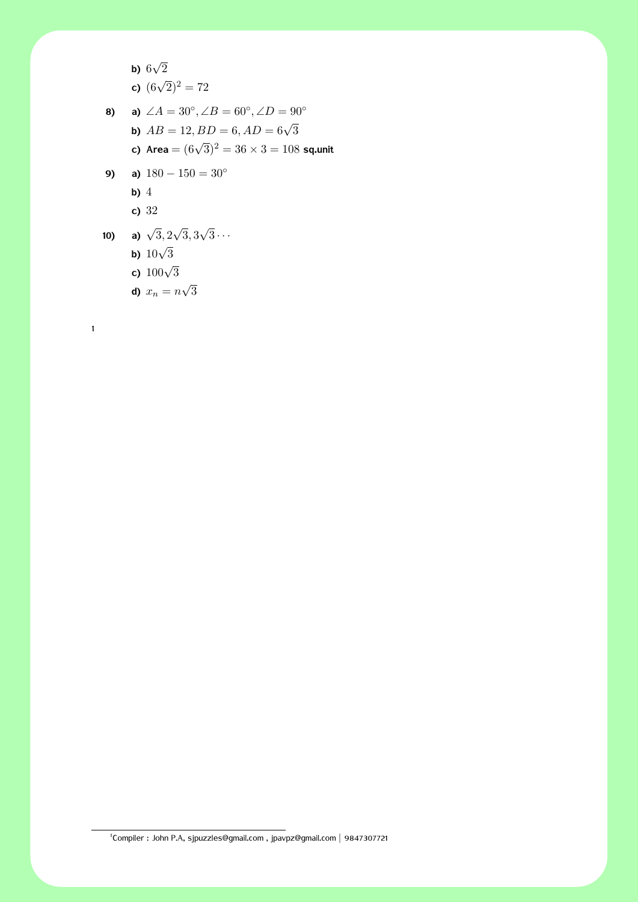\n- **b)** 
$$
6\sqrt{2}
$$
\n- **c)**  $(6\sqrt{2})^2 = 72$
\n- **8)**\n
	\n- **a)**  $\angle A = 30^\circ$ ,  $\angle B = 60^\circ$ ,  $\angle D = 90^\circ$
	\n- **b)**  $AB = 12$ ,  $BD = 6$ ,  $AD = 6\sqrt{3}$
	\n- **c)** Area =  $(6\sqrt{3})^2 = 36 \times 3 = 108$  sq-unit
	\n\n
\n- **9)**\n
	\n- **a)**  $180 - 150 = 30^\circ$
	\n- **b)** 4
	\n- **c)**  $32$
	\n\n
\n- **10)**\n
	\n- **a)**  $\sqrt{3}$ ,  $2\sqrt{3}$ ,  $3\sqrt{3}$ ...
	\n- **b)**  $10\sqrt{3}$
	\n- **c)**  $100\sqrt{3}$
	\n\n
\n

**d)**  $x_n = n\sqrt{3}$ 

1

1 Compiler : John P.A, sjpuzzles@gmail.com , jpavpz@gmail.com *|* 9847307721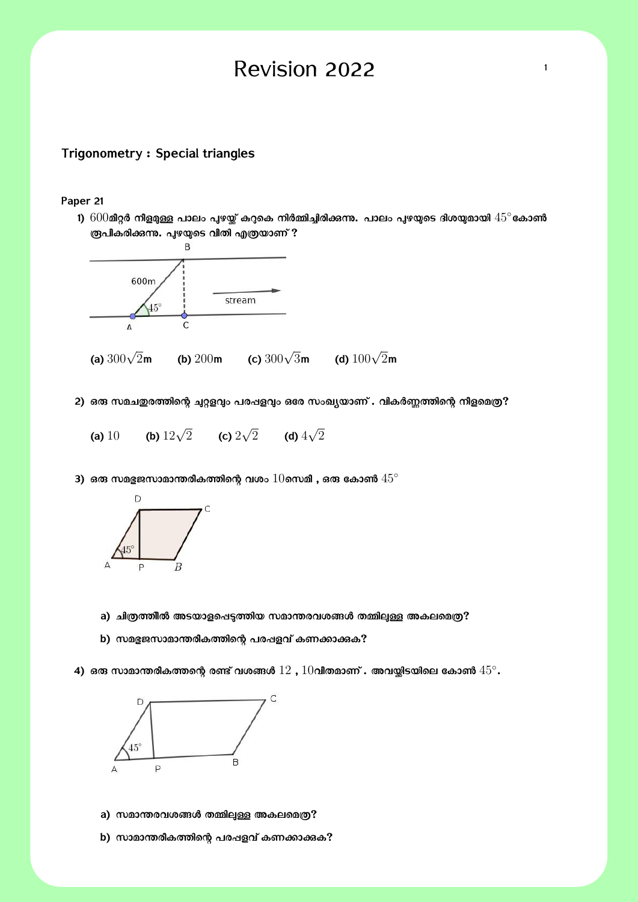# Revision 2022  $\frac{1}{1}$

### **Trigonometry : Special triangles**

#### **Paper 21**

**1)** 600**മീѕർ നീള̔Э പാലം ʧഴ്̳ ĩѓെക നിർ̢ിƟിരിįʔ. പാലം ʧഴ̬െട ദിശ̬മായി** 45*◦* **േകാൺ ര്രപികരിക്കന്നു. പുഴയുടെ വീതി എത്രയാണ് ?**<br>B



- 2) ഒരു സമചതുരത്തിന്റെ ചുറ്റളവും പരഷളവും ഒരേ സംഖ്യയാണ് . വികർണ്ണത്തിന്റെ നീളമെത്ര?
	- **(a)** 10 **(b)**  $12\sqrt{2}$  **(c)**  $2\sqrt{2}$  **(d)**  $4\sqrt{2}$
- $3)$  ഒരു സമ ${\bf g}$ ജസാമാന്തരീകത്തിന്റെ വശം  $10$ സെമീ , ഒരു കോൺ  $45^\circ$



- a) ചിത്രത്തിൽ അടയാളപ്പെട്ടത്തിയ സമാന്തരവശങ്ങൾ തമ്മിലുള്ള അകലമെത്ര?
- b) സമഭുജസാമാന്തരീകത്തിന്റെ പരഷളവ് കണക്കാക്കുക?
- $\boldsymbol{4}$ ) ഒരു സാമാന്തരീകത്തന്റെ രണ്ട് വശങ്ങൾ  $12$  ,  $10$ വീതമാണ് . അവയ്കിടയിലെ കോൺ  $45^\circ$ .



- a) സമാന്തരവശങ്ങൾ തമ്മിലുള്ള അകലമെത്ര?
- b) സാമാന്തരീകത്തിന്റെ പര**ഷളവ് കണക്കാക്കു**?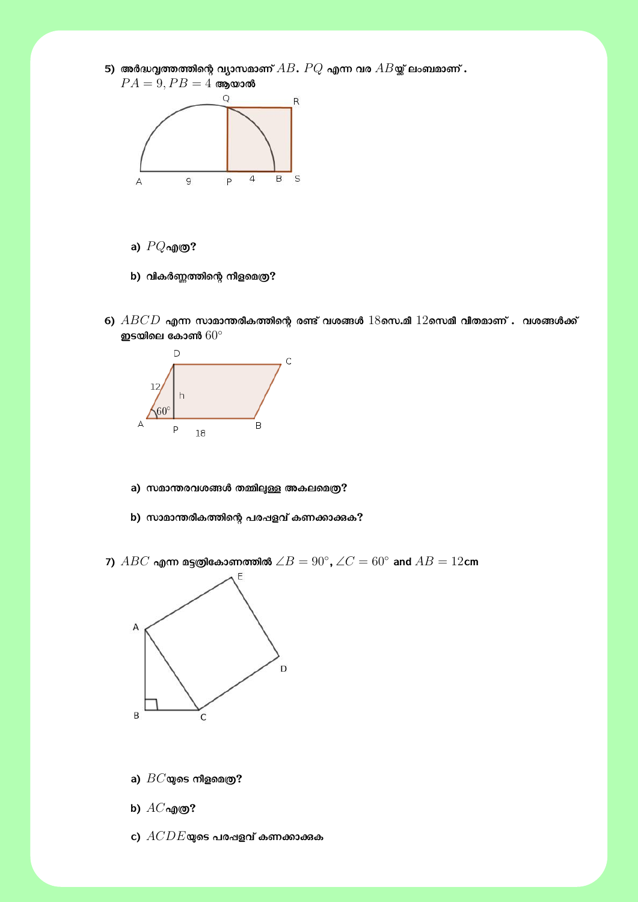



- **a)** *P Q***എȩ?**
- **b) വികർȊȔിെʤ നീളെമȩ?**
- $6)$   $ABCD$  എന്ന സാമാന്തരീകത്തിന്റെ രണ്ട് വശങ്ങൾ  $18$ സെ.മീ  $12$ സെമീ വീതമാണ് . വശങ്ങൾക്ക് **ഇടയിെല േകാൺ** 60*◦*



- a) സമാന്തരവശങ്ങൾ തമ്മിലുള്ള അകലമെത്ര?
- b) സാമാന്തരീകത്തിന്റെ പരഷളവ് കണക്കാക്കുക?
- $7$ )  $ABC$  എന്ന മട്ടത്രികോണത്തിൽ  $\angle B = 90^\circ$ ,  $\angle C = 60^\circ$  and  $AB = 12$ cm



- **a)** *BC***̬െട നീളെമȩ?**
- **b)** *AC***എȩ?**
- **c)** *ACDE***̬െട പരʶളവ് കണĮാįക**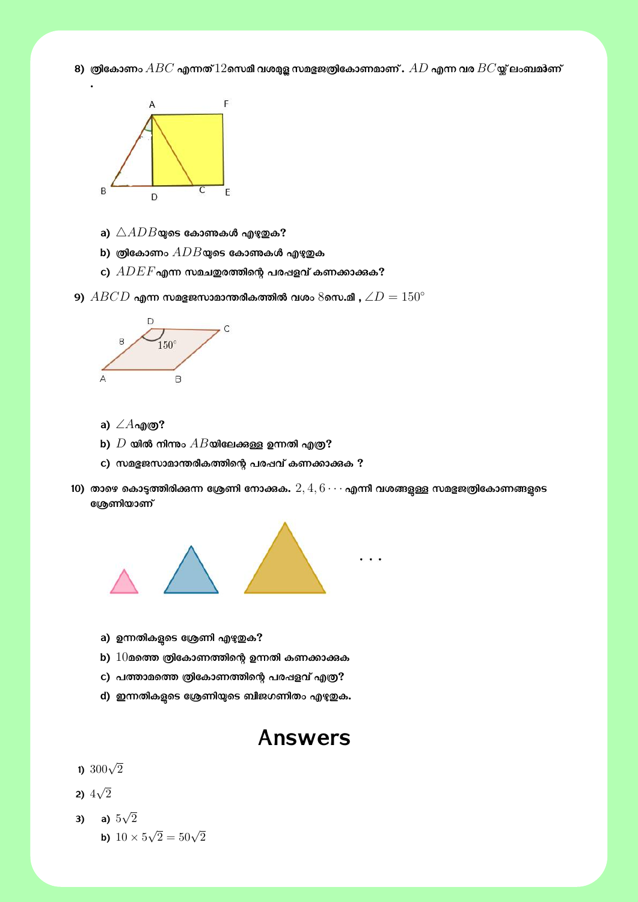$\bf{8})$  ത്രികോണം  $ABC$  എന്നത് $12$ സെമീ വശമുള സമഭുജത്രികോണമാണ് .  $AD$  എന്ന വര  $BC$ യ്ല് ലംബമാണ്



- **a)** *△ADB***̬െട േകാǶകൾ എаȐക?**
- $b)$  ത്രികോണം  $ADB$ യുടെ കോണകൾ എഴുതുക
- **c)** *ADEF***എʓ സമചȐരȔിെʤ പരʶളവ് കണĮാįക?**
- $\bullet$  9)  $ABCD$  എന്ന സമഭുജസാമാന്തരീകത്തിൽ വശം  $8$ സെ.മീ ,  $\angle D = 150^{\circ}$



- **a)** ∠*A***എȩ?**
- $\mathbf{b}$ )  $D$  യിൽ നിന്നും  $AB$ യിലേക്കുള്ള ഉന്നതി എത്ര $\mathbf{?}$
- **c) സമ̍ജസാമാɸരീകȔിെʤ പരʶവ് കണĮാįക ?**
- 10) താഴെ കൊടുത്തിരിക്കന്ന ശ്രേണി നോക്കക.  $2, 4, 6\cdots$  എന്നീ വശങ്ങളുള്ള സമഭുജത്രികോണങ്ങളുടെ **േΚണിയാണ്**



- a) ഉന്നതികളടെ ശ്രേണി എഴു**തുക**?
- b)  $10$ മത്തെ ത്രികോണത്തിന്റെ ഉന്നതി കണക്കാക്കുക
- **c) പȔാമെȔ ȩിേകാണȔിെʤ പരʶളവ് എȩ?**
- **d) ഇʓതികЫെട േΚണി̬െട ബീജഗണിതം എаȐക.**

### **Answers**

### **1)** <sup>300</sup>*<sup>√</sup>* 2

**2)**  $4\sqrt{2}$ 

3) a) 
$$
5\sqrt{2}
$$
  
b)  $10 \times 5\sqrt{2} = 50\sqrt{2}$